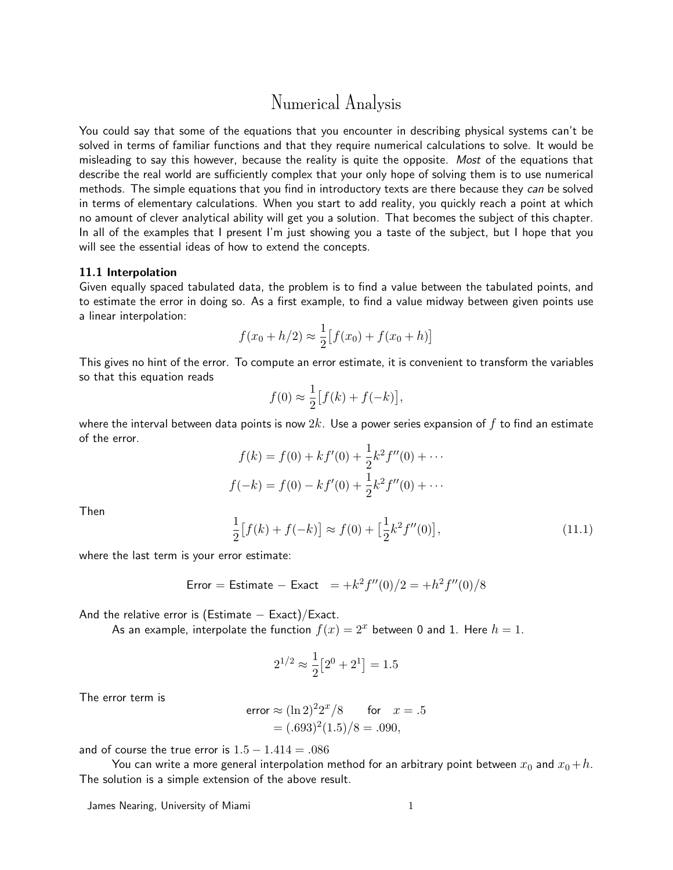# Numerical Analysis

You could say that some of the equations that you encounter in describing physical systems can't be solved in terms of familiar functions and that they require numerical calculations to solve. It would be misleading to say this however, because the reality is quite the opposite. Most of the equations that describe the real world are sufficiently complex that your only hope of solving them is to use numerical methods. The simple equations that you find in introductory texts are there because they can be solved in terms of elementary calculations. When you start to add reality, you quickly reach a point at which no amount of clever analytical ability will get you a solution. That becomes the subject of this chapter. In all of the examples that I present I'm just showing you a taste of the subject, but I hope that you will see the essential ideas of how to extend the concepts.

#### 11.1 Interpolation

Given equally spaced tabulated data, the problem is to find a value between the tabulated points, and to estimate the error in doing so. As a first example, to find a value midway between given points use a linear interpolation:

$$
f(x_0 + h/2) \approx \frac{1}{2} [f(x_0) + f(x_0 + h)]
$$

This gives no hint of the error. To compute an error estimate, it is convenient to transform the variables so that this equation reads

$$
f(0) \approx \frac{1}{2} \big[ f(k) + f(-k) \big],
$$

where the interval between data points is now  $2k$ . Use a power series expansion of f to find an estimate of the error.

$$
f(k) = f(0) + kf'(0) + \frac{1}{2}k^2 f''(0) + \cdots
$$

$$
f(-k) = f(0) - kf'(0) + \frac{1}{2}k^2 f''(0) + \cdots
$$

Then

$$
\frac{1}{2}[f(k) + f(-k)] \approx f(0) + \left[\frac{1}{2}k^2 f''(0)\right],\tag{11.1}
$$

where the last term is your error estimate:

Error = Estimate - Exact 
$$
=+k^2 f''(0)/2 = +h^2 f''(0)/8
$$

And the relative error is (Estimate  $-$  Exact)/Exact.

As an example, interpolate the function  $f(x) = 2^x$  between 0 and 1. Here  $h = 1$ .

$$
2^{1/2} \approx \frac{1}{2} [2^0 + 2^1] = 1.5
$$

The error term is

error 
$$
\approx (\ln 2)^2 2^x / 8
$$
 for  $x = .5$   
=  $(.693)^2 (1.5) / 8 = .090$ ,

and of course the true error is  $1.5 - 1.414 = .086$ 

You can write a more general interpolation method for an arbitrary point between  $x_0$  and  $x_0 + h$ . The solution is a simple extension of the above result.

James Nearing, University of Miami 1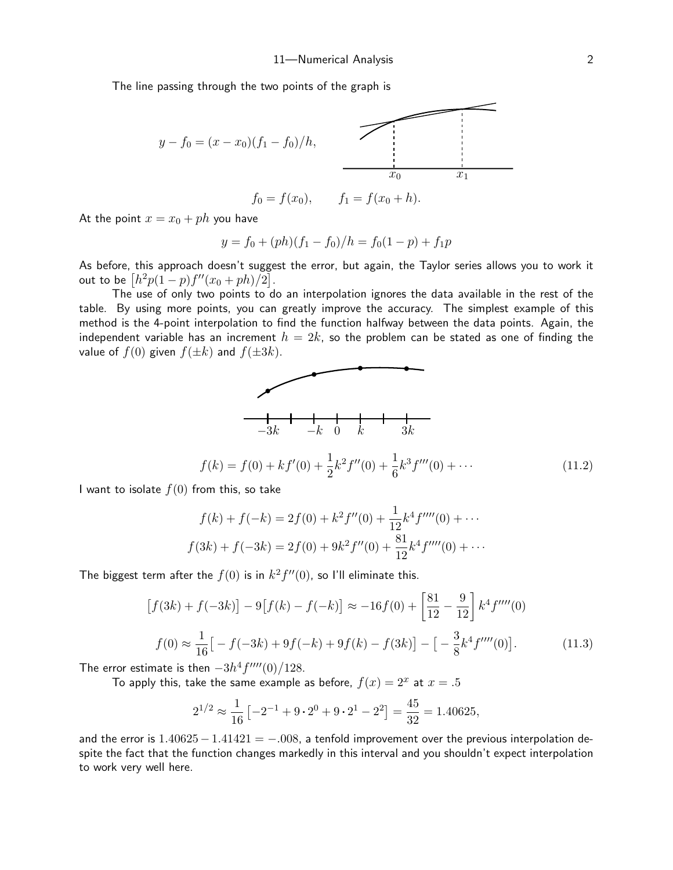The line passing through the two points of the graph is



$$
f_0 = f(x_0),
$$
  $f_1 = f(x_0 + h).$ 

At the point  $x = x_0 + ph$  you have

$$
y = f_0 + (ph)(f_1 - f_0)/h = f_0(1 - p) + f_1p
$$

As before, this approach doesn't suggest the error, but again, the Taylor series allows you to work it out to be  $\left[h^2 p(1-p) f''(x_0+ph)/2\right]$ .

The use of only two points to do an interpolation ignores the data available in the rest of the table. By using more points, you can greatly improve the accuracy. The simplest example of this method is the 4-point interpolation to find the function halfway between the data points. Again, the independent variable has an increment  $h = 2k$ , so the problem can be stated as one of finding the value of  $f(0)$  given  $f(\pm k)$  and  $f(\pm 3k)$ .



I want to isolate  $f(0)$  from this, so take

$$
f(k) + f(-k) = 2f(0) + k^2 f''(0) + \frac{1}{12}k^4 f'''(0) + \cdots
$$
  

$$
f(3k) + f(-3k) = 2f(0) + 9k^2 f''(0) + \frac{81}{12}k^4 f'''(0) + \cdots
$$

The biggest term after the  $f(0)$  is in  $k^2 f''(0)$ , so I'll eliminate this.

$$
[f(3k) + f(-3k)] - 9[f(k) - f(-k)] \approx -16f(0) + \left[\frac{81}{12} - \frac{9}{12}\right]k^4 f'''(0)
$$

$$
f(0) \approx \frac{1}{16} \left[ -f(-3k) + 9f(-k) + 9f(k) - f(3k) \right] - \left[ -\frac{3}{8}k^4 f'''(0) \right].
$$
 (11.3)

The error estimate is then  $-3h^4f^{\prime\prime\prime\prime}(0)/128.$ 

To apply this, take the same example as before,  $f(x) = 2^x$  at  $x = .5$ 

<span id="page-1-0"></span>
$$
2^{1/2} \approx \frac{1}{16} \left[ -2^{-1} + 9 \cdot 2^0 + 9 \cdot 2^1 - 2^2 \right] = \frac{45}{32} = 1.40625,
$$

and the error is  $1.40625 - 1.41421 = -0.008$ , a tenfold improvement over the previous interpolation despite the fact that the function changes markedly in this interval and you shouldn't expect interpolation to work very well here.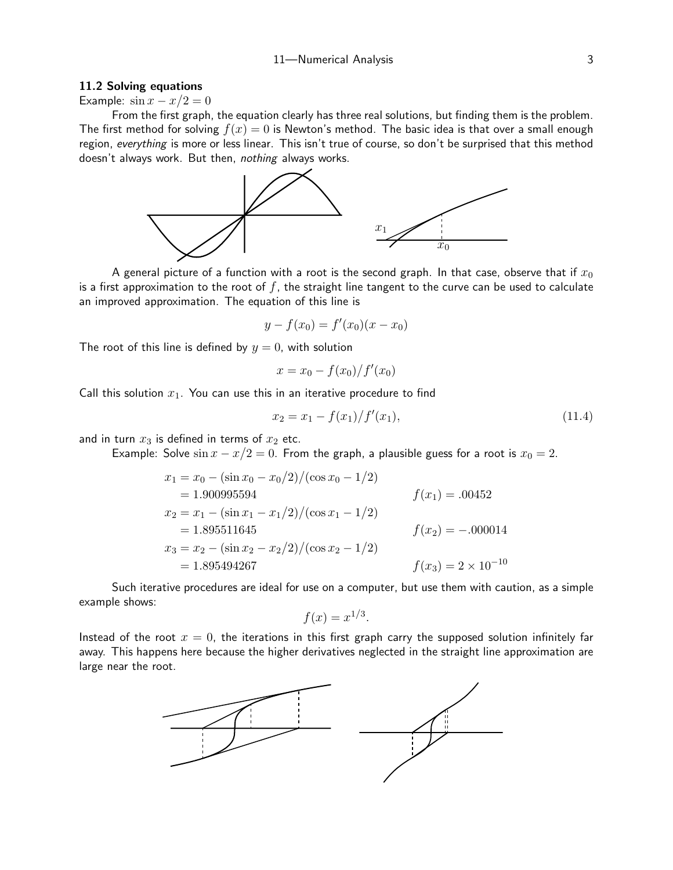#### 11.2 Solving equations

Example:  $\sin x - x/2 = 0$ 

From the first graph, the equation clearly has three real solutions, but finding them is the problem. The first method for solving  $f(x) = 0$  is Newton's method. The basic idea is that over a small enough region, everything is more or less linear. This isn't true of course, so don't be surprised that this method doesn't always work. But then, nothing always works.



A general picture of a function with a root is the second graph. In that case, observe that if  $x_0$ is a first approximation to the root of  $f$ , the straight line tangent to the curve can be used to calculate an improved approximation. The equation of this line is

$$
y - f(x_0) = f'(x_0)(x - x_0)
$$

The root of this line is defined by  $y = 0$ , with solution

$$
x = x_0 - \frac{f(x_0)}{f'(x_0)}
$$

Call this solution  $x_1$ . You can use this in an iterative procedure to find

$$
x_2 = x_1 - \frac{f(x_1)}{f'(x_1)},\tag{11.4}
$$

and in turn  $x_3$  is defined in terms of  $x_2$  etc.

Example: Solve  $\sin x - x/2 = 0$ . From the graph, a plausible guess for a root is  $x_0 = 2$ .

$$
x_1 = x_0 - (\sin x_0 - x_0/2)/(\cos x_0 - 1/2)
$$
  
= 1.900995594 
$$
f(x_1) = .00452
$$
  

$$
x_2 = x_1 - (\sin x_1 - x_1/2)/(\cos x_1 - 1/2)
$$
  
= 1.895511645 
$$
f(x_2) = -.000014
$$
  

$$
x_3 = x_2 - (\sin x_2 - x_2/2)/(\cos x_2 - 1/2)
$$
  
= 1.895494267 
$$
f(x_3) = 2 \times 10^{-10}
$$

Such iterative procedures are ideal for use on a computer, but use them with caution, as a simple example shows:

$$
f(x) = x^{1/3}.
$$

Instead of the root  $x = 0$ , the iterations in this first graph carry the supposed solution infinitely far away. This happens here because the higher derivatives neglected in the straight line approximation are large near the root.

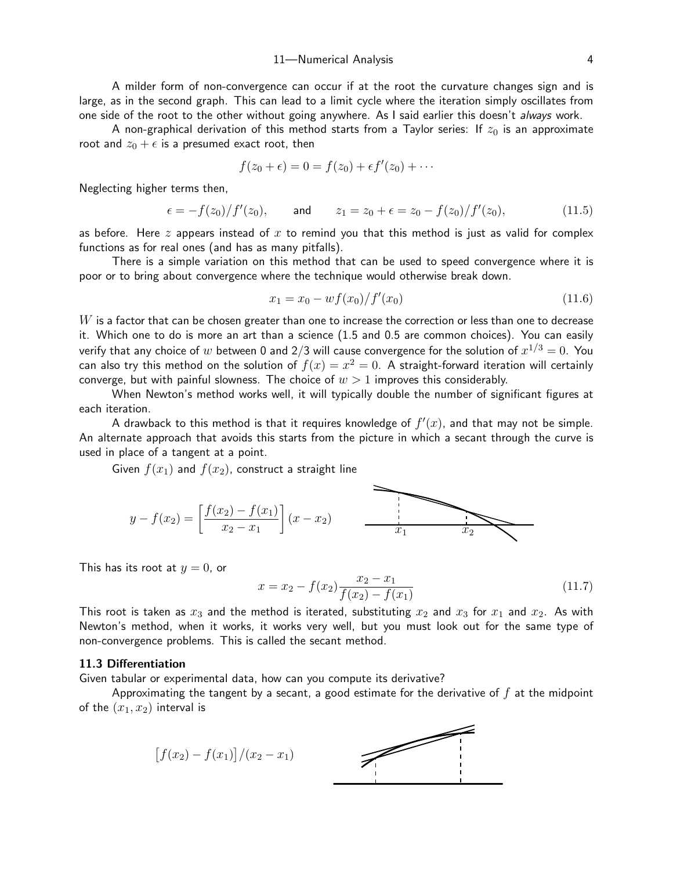A milder form of non-convergence can occur if at the root the curvature changes sign and is large, as in the second graph. This can lead to a limit cycle where the iteration simply oscillates from one side of the root to the other without going anywhere. As I said earlier this doesn't always work.

A non-graphical derivation of this method starts from a Taylor series: If  $z_0$  is an approximate root and  $z_0 + \epsilon$  is a presumed exact root, then

$$
f(z_0+\epsilon)=0=f(z_0)+\epsilon f'(z_0)+\cdots
$$

Neglecting higher terms then,

$$
\epsilon = -f(z_0)/f'(z_0)
$$
, and  $z_1 = z_0 + \epsilon = z_0 - f(z_0)/f'(z_0)$ , (11.5)

as before. Here  $z$  appears instead of  $x$  to remind you that this method is just as valid for complex functions as for real ones (and has as many pitfalls).

There is a simple variation on this method that can be used to speed convergence where it is poor or to bring about convergence where the technique would otherwise break down.

$$
x_1 = x_0 - wf(x_0)/f'(x_0)
$$
\n(11.6)

 $W$  is a factor that can be chosen greater than one to increase the correction or less than one to decrease it. Which one to do is more an art than a science (1.5 and 0.5 are common choices). You can easily verify that any choice of  $w$  between 0 and 2/3 will cause convergence for the solution of  $x^{1/3}=0. \,$  You can also try this method on the solution of  $f(x) = x^2 = 0$ . A straight-forward iteration will certainly converge, but with painful slowness. The choice of  $w > 1$  improves this considerably.

When Newton's method works well, it will typically double the number of significant figures at each iteration.

A drawback to this method is that it requires knowledge of  $f'(x)$ , and that may not be simple. An alternate approach that avoids this starts from the picture in which a secant through the curve is used in place of a tangent at a point.

Given  $f(x_1)$  and  $f(x_2)$ , construct a straight line

$$
y - f(x_2) = \left[\frac{f(x_2) - f(x_1)}{x_2 - x_1}\right](x - x_2)
$$

This has its root at  $y = 0$ , or

<span id="page-3-0"></span>
$$
x = x_2 - f(x_2) \frac{x_2 - x_1}{f(x_2) - f(x_1)}
$$
\n(11.7)

This root is taken as  $x_3$  and the method is iterated, substituting  $x_2$  and  $x_3$  for  $x_1$  and  $x_2$ . As with Newton's method, when it works, it works very well, but you must look out for the same type of non-convergence problems. This is called the secant method.

## 11.3 Differentiation

Given tabular or experimental data, how can you compute its derivative?

Approximating the tangent by a secant, a good estimate for the derivative of  $f$  at the midpoint of the  $(x_1, x_2)$  interval is

$$
[f(x_2) - f(x_1)]/(x_2 - x_1)
$$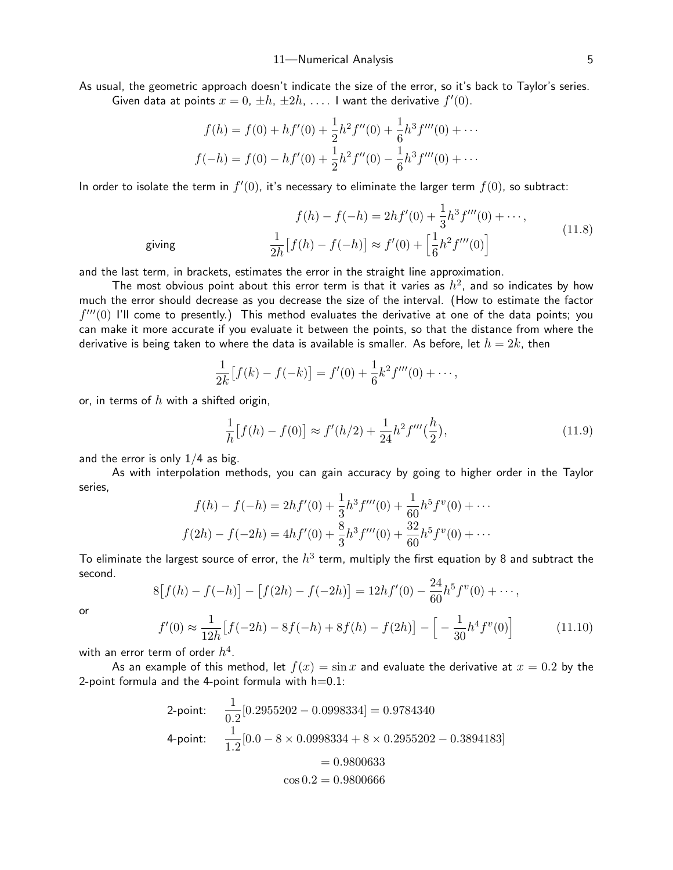As usual, the geometric approach doesn't indicate the size of the error, so it's back to Taylor's series. Given data at points  $x = 0, \pm h, \pm 2h, \ldots$ . I want the derivative  $f'(0)$ .

$$
f(h) = f(0) + hf'(0) + \frac{1}{2}h^2f''(0) + \frac{1}{6}h^3f'''(0) + \cdots
$$
  

$$
f(-h) = f(0) - hf'(0) + \frac{1}{2}h^2f''(0) - \frac{1}{6}h^3f'''(0) + \cdots
$$

In order to isolate the term in  $f'(0)$ , it's necessary to eliminate the larger term  $f(0)$ , so subtract:

$$
f(h) - f(-h) = 2hf'(0) + \frac{1}{3}h^3 f'''(0) + \cdots,
$$
  
giving 
$$
\frac{1}{2h}[f(h) - f(-h)] \approx f'(0) + \left[\frac{1}{6}h^2 f'''(0)\right]
$$
 (11.8)

and the last term, in brackets, estimates the error in the straight line approximation.

The most obvious point about this error term is that it varies as  $h^2$ , and so indicates by how much the error should decrease as you decrease the size of the interval. (How to estimate the factor  $f'''(0)$  I'll come to presently.) This method evaluates the derivative at one of the data points; you can make it more accurate if you evaluate it between the points, so that the distance from where the derivative is being taken to where the data is available is smaller. As before, let  $h = 2k$ , then

<span id="page-4-1"></span>
$$
\frac{1}{2k}[f(k) - f(-k)] = f'(0) + \frac{1}{6}k^2 f'''(0) + \cdots,
$$

or, in terms of  $h$  with a shifted origin,

$$
\frac{1}{h}[f(h) - f(0)] \approx f'(h/2) + \frac{1}{24}h^2 f'''(\frac{h}{2}),\tag{11.9}
$$

and the error is only  $1/4$  as big.

As with interpolation methods, you can gain accuracy by going to higher order in the Taylor series,

$$
f(h) - f(-h) = 2hf'(0) + \frac{1}{3}h^3f'''(0) + \frac{1}{60}h^5f^v(0) + \cdots
$$
  

$$
f(2h) - f(-2h) = 4hf'(0) + \frac{8}{3}h^3f'''(0) + \frac{32}{60}h^5f^v(0) + \cdots
$$

To eliminate the largest source of error, the  $h^3$  term, multiply the first equation by 8 and subtract the second.

$$
8[f(h) - f(-h)] - [f(2h) - f(-2h)] = 12hf'(0) - \frac{24}{60}h^5f''(0) + \cdots,
$$

or

$$
f'(0) \approx \frac{1}{12h} \left[ f(-2h) - 8f(-h) + 8f(h) - f(2h) \right] - \left[ -\frac{1}{30} h^4 f''(0) \right]
$$
(11.10)

with an error term of order  $h^4.$ 

As an example of this method, let  $f(x) = \sin x$  and evaluate the derivative at  $x = 0.2$  by the 2-point formula and the 4-point formula with  $h=0.1$ :

<span id="page-4-0"></span>2-point: 
$$
\frac{1}{0.2} [0.2955202 - 0.0998334] = 0.9784340
$$
  
4-point: 
$$
\frac{1}{1.2} [0.0 - 8 \times 0.0998334 + 8 \times 0.2955202 - 0.3894183]
$$

$$
= 0.9800633
$$

$$
\cos 0.2 = 0.9800666
$$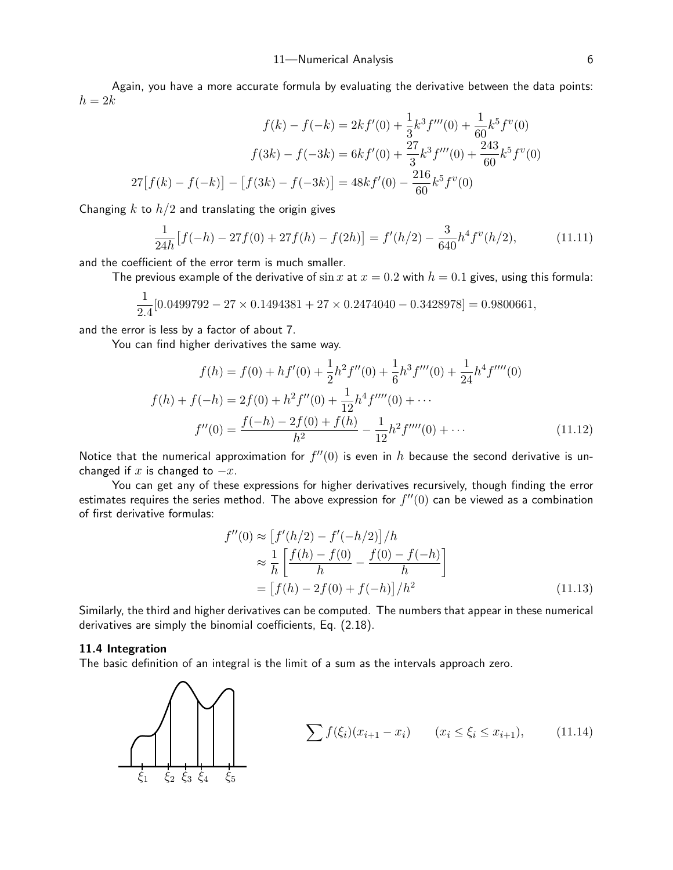Again, you have a more accurate formula by evaluating the derivative between the data points:  $h = 2k$ 

$$
f(k) - f(-k) = 2kf'(0) + \frac{1}{3}k^3 f'''(0) + \frac{1}{60}k^5 f^{v}(0)
$$

$$
f(3k) - f(-3k) = 6kf'(0) + \frac{27}{3}k^3 f'''(0) + \frac{243}{60}k^5 f^{v}(0)
$$

$$
27[f(k) - f(-k)] - [f(3k) - f(-3k)] = 48kf'(0) - \frac{216}{60}k^5 f^{v}(0)
$$

Changing k to  $h/2$  and translating the origin gives

<span id="page-5-0"></span>
$$
\frac{1}{24h} \left[ f(-h) - 27f(0) + 27f(h) - f(2h) \right] = f'(h/2) - \frac{3}{640} h^4 f''(h/2),\tag{11.11}
$$

and the coefficient of the error term is much smaller.

The previous example of the derivative of  $\sin x$  at  $x = 0.2$  with  $h = 0.1$  gives, using this formula:

$$
\frac{1}{2.4}[0.0499792-27\times 0.1494381+27\times 0.2474040-0.3428978]=0.9800661,
$$

and the error is less by a factor of about 7.

You can find higher derivatives the same way.

$$
f(h) = f(0) + hf'(0) + \frac{1}{2}h^2f''(0) + \frac{1}{6}h^3f'''(0) + \frac{1}{24}h^4f''''(0)
$$

$$
f(h) + f(-h) = 2f(0) + h^2f''(0) + \frac{1}{12}h^4f'''(0) + \cdots
$$

$$
f''(0) = \frac{f(-h) - 2f(0) + f(h)}{h^2} - \frac{1}{12}h^2f'''(0) + \cdots
$$
(11.12)

Notice that the numerical approximation for  $f''(0)$  is even in  $h$  because the second derivative is unchanged if x is changed to  $-x$ .

You can get any of these expressions for higher derivatives recursively, though finding the error estimates requires the series method. The above expression for  $f''(0)$  can be viewed as a combination of first derivative formulas:

$$
f''(0) \approx \left[f'(h/2) - f'(-h/2)\right]/h
$$
  
\n
$$
\approx \frac{1}{h} \left[\frac{f(h) - f(0)}{h} - \frac{f(0) - f(-h)}{h}\right]
$$
  
\n
$$
= \left[f(h) - 2f(0) + f(-h)\right]/h^2
$$
\n(11.13)

Similarly, the third and higher derivatives can be computed. The numbers that appear in these numerical derivatives are simply the binomial coefficients, Eq. (2.18).

#### 11.4 Integration

The basic definition of an integral is the limit of a sum as the intervals approach zero.

 $\xi_1$   $\xi_2$   $\xi_3$   $\xi_4$   $\xi_5$  $\sum_{i} f(\xi_i)(x_{i+1} - x_i)$   $(x_i \leq \xi_i \leq x_{i+1}),$  (11.14)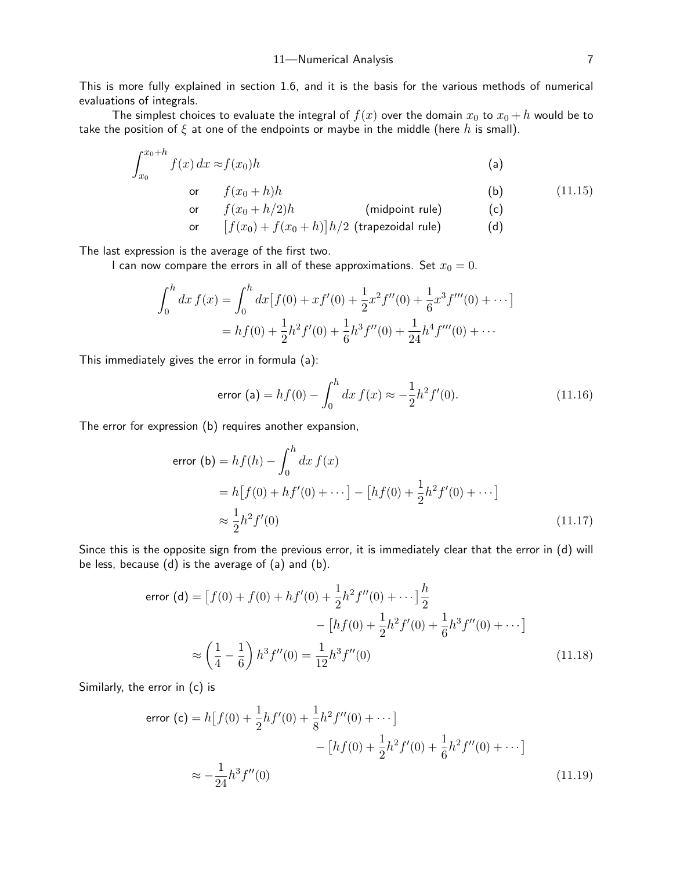This is more fully explained in section 1.6, and it is the basis for the various methods of numerical evaluations of integrals.

The simplest choices to evaluate the integral of  $f(x)$  over the domain  $x_0$  to  $x_0 + h$  would be to take the position of  $\xi$  at one of the endpoints or maybe in the middle (here h is small).

$$
\int_{x_0}^{x_0+h} f(x) \, dx \approx f(x_0)h \tag{a}
$$

$$
\text{or} \qquad f(x_0 + h)h \tag{11.15}
$$

<span id="page-6-0"></span>or  $f(x_0 + h/2)h$  (midpoint rule) (c)

$$
\qquad \qquad \text{or} \qquad \left[ f(x_0) + f(x_0 + h) \right] h/2 \text{ (trapezoidal rule)} \qquad \qquad \text{(d)}
$$

The last expression is the average of the first two.

I can now compare the errors in all of these approximations. Set  $x_0 = 0$ .

$$
\int_0^h dx f(x) = \int_0^h dx [f(0) + xf'(0) + \frac{1}{2}x^2 f''(0) + \frac{1}{6}x^3 f'''(0) + \cdots]
$$
  
=  $hf(0) + \frac{1}{2}h^2 f'(0) + \frac{1}{6}h^3 f''(0) + \frac{1}{24}h^4 f'''(0) + \cdots$ 

This immediately gives the error in formula (a):

error (a) = 
$$
hf(0) - \int_0^h dx f(x) \approx -\frac{1}{2}h^2 f'(0)
$$
. (11.16)

The error for expression (b) requires another expansion,

error (b) = 
$$
hf(h) - \int_0^h dx f(x)
$$
  
\n=  $h[f(0) + hf'(0) + \cdots] - [hf(0) + \frac{1}{2}h^2f'(0) + \cdots]$   
\n $\approx \frac{1}{2}h^2f'(0)$  (11.17)

Since this is the opposite sign from the previous error, it is immediately clear that the error in (d) will be less, because (d) is the average of (a) and (b).

error (d) = 
$$
[f(0) + f(0) + hf'(0) + \frac{1}{2}h^2f''(0) + \cdots] \frac{h}{2}
$$
  
 
$$
- [hf(0) + \frac{1}{2}h^2f'(0) + \frac{1}{6}h^3f''(0) + \cdots]
$$

$$
\approx \left(\frac{1}{4} - \frac{1}{6}\right)h^3f''(0) = \frac{1}{12}h^3f''(0)
$$
(11.18)

Similarly, the error in (c) is

error (c) = 
$$
h[f(0) + \frac{1}{2}hf'(0) + \frac{1}{8}h^2f''(0) + \cdots]
$$
  
-  $[hf(0) + \frac{1}{2}h^2f'(0) + \frac{1}{6}h^2f''(0) + \cdots]$   
 $\approx -\frac{1}{24}h^3f''(0)$  (11.19)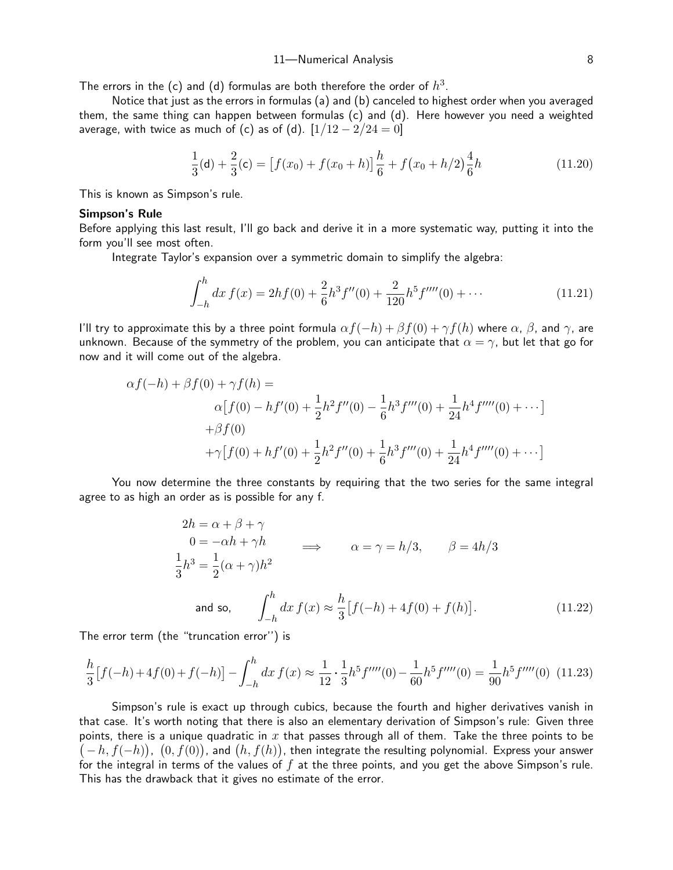The errors in the (c) and (d) formulas are both therefore the order of  $h^3.$ 

Notice that just as the errors in formulas (a) and (b) canceled to highest order when you averaged them, the same thing can happen between formulas (c) and (d). Here however you need a weighted average, with twice as much of (c) as of (d).  $[1/12 - 2/24 = 0]$ 

$$
\frac{1}{3}(\mathbf{d}) + \frac{2}{3}(\mathbf{c}) = \left[f(x_0) + f(x_0 + h)\right]\frac{h}{6} + f(x_0 + h/2)\frac{4}{6}h\tag{11.20}
$$

This is known as Simpson's rule.

## Simpson's Rule

Before applying this last result, I'll go back and derive it in a more systematic way, putting it into the form you'll see most often.

Integrate Taylor's expansion over a symmetric domain to simplify the algebra:

$$
\int_{-h}^{h} dx f(x) = 2hf(0) + \frac{2}{6}h^3 f''(0) + \frac{2}{120}h^5 f'''(0) + \cdots
$$
 (11.21)

I'll try to approximate this by a three point formula  $\alpha f(-h) + \beta f(0) + \gamma f(h)$  where  $\alpha$ ,  $\beta$ , and  $\gamma$ , are unknown. Because of the symmetry of the problem, you can anticipate that  $\alpha = \gamma$ , but let that go for now and it will come out of the algebra.

$$
\alpha f(-h) + \beta f(0) + \gamma f(h) =
$$
  
\n
$$
\alpha [f(0) - hf'(0) + \frac{1}{2}h^2 f''(0) - \frac{1}{6}h^3 f'''(0) + \frac{1}{24}h^4 f''''(0) + \cdots]
$$
  
\n
$$
+ \beta f(0)
$$
  
\n
$$
+ \gamma [f(0) + hf'(0) + \frac{1}{2}h^2 f''(0) + \frac{1}{6}h^3 f'''(0) + \frac{1}{24}h^4 f''''(0) + \cdots]
$$

You now determine the three constants by requiring that the two series for the same integral agree to as high an order as is possible for any f.

<span id="page-7-0"></span>
$$
2h = \alpha + \beta + \gamma
$$
  
\n
$$
0 = -\alpha h + \gamma h
$$
  
\n
$$
\frac{1}{3}h^3 = \frac{1}{2}(\alpha + \gamma)h^2
$$
  
\nand so, 
$$
\int_{-h}^{h} dx f(x) \approx \frac{h}{3} [f(-h) + 4f(0) + f(h)].
$$
  
\n(11.22)

The error term (the "truncation error'') is

$$
\frac{h}{3}[f(-h) + 4f(0) + f(-h)] - \int_{-h}^{h} dx f(x) \approx \frac{1}{12} \cdot \frac{1}{3} h^5 f'''(0) - \frac{1}{60} h^5 f'''(0) = \frac{1}{90} h^5 f'''(0) \tag{11.23}
$$

Simpson's rule is exact up through cubics, because the fourth and higher derivatives vanish in that case. It's worth noting that there is also an elementary derivation of Simpson's rule: Given three points, there is a unique quadratic in x that passes through all of them. Take the three points to be  $(-h, f(-h))$ ,  $(0, f(0))$ , and  $(h, f(h))$ , then integrate the resulting polynomial. Express your answer for the integral in terms of the values of  $f$  at the three points, and you get the above Simpson's rule. This has the drawback that it gives no estimate of the error.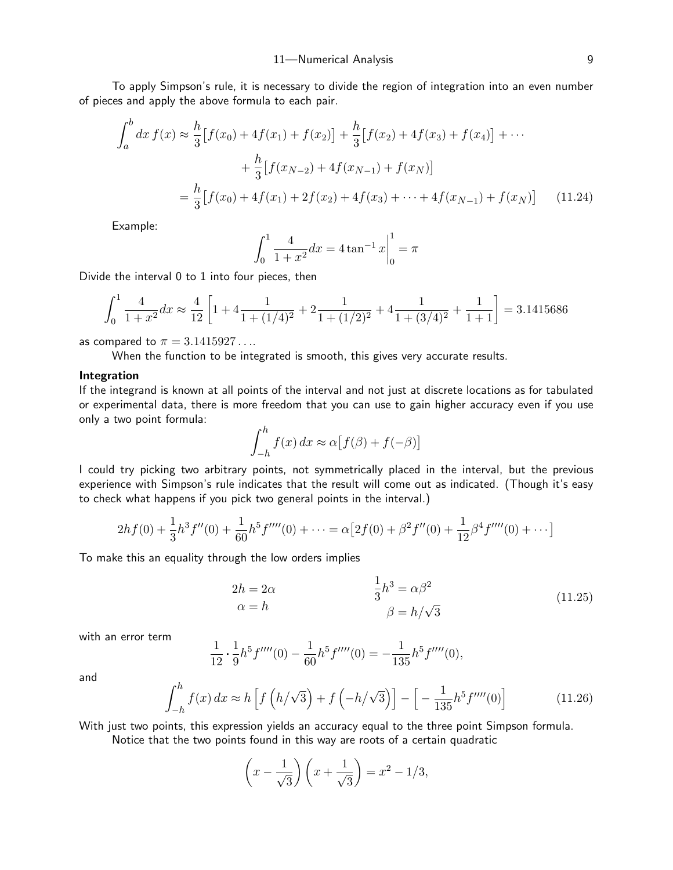To apply Simpson's rule, it is necessary to divide the region of integration into an even number of pieces and apply the above formula to each pair.

$$
\int_{a}^{b} dx f(x) \approx \frac{h}{3} [f(x_{0}) + 4f(x_{1}) + f(x_{2})] + \frac{h}{3} [f(x_{2}) + 4f(x_{3}) + f(x_{4})] + \cdots
$$

$$
+ \frac{h}{3} [f(x_{N-2}) + 4f(x_{N-1}) + f(x_{N})]
$$

$$
= \frac{h}{3} [f(x_{0}) + 4f(x_{1}) + 2f(x_{2}) + 4f(x_{3}) + \cdots + 4f(x_{N-1}) + f(x_{N})] \qquad (11.24)
$$

Example:

$$
\int_0^1 \frac{4}{1+x^2} dx = 4 \tan^{-1} x \Big|_0^1 = \pi
$$

Divide the interval 0 to 1 into four pieces, then

$$
\int_0^1 \frac{4}{1+x^2} dx \approx \frac{4}{12} \left[ 1 + 4 \frac{1}{1 + (1/4)^2} + 2 \frac{1}{1 + (1/2)^2} + 4 \frac{1}{1 + (3/4)^2} + \frac{1}{1 + 1} \right] = 3.1415686
$$

as compared to  $\pi = 3.1415927...$ 

When the function to be integrated is smooth, this gives very accurate results.

## Integration

If the integrand is known at all points of the interval and not just at discrete locations as for tabulated or experimental data, there is more freedom that you can use to gain higher accuracy even if you use only a two point formula:

$$
\int_{-h}^{h} f(x) dx \approx \alpha [f(\beta) + f(-\beta)]
$$

I could try picking two arbitrary points, not symmetrically placed in the interval, but the previous experience with Simpson's rule indicates that the result will come out as indicated. (Though it's easy to check what happens if you pick two general points in the interval.)

$$
2hf(0) + \frac{1}{3}h^3f''(0) + \frac{1}{60}h^5f'''(0) + \dots = \alpha[2f(0) + \beta^2f''(0) + \frac{1}{12}\beta^4f'''(0) + \dots]
$$

To make this an equality through the low orders implies

$$
2h = 2\alpha
$$
  
\n
$$
\alpha = h
$$
  
\n
$$
\frac{1}{3}h^3 = \alpha\beta^2
$$
  
\n
$$
\beta = h/\sqrt{3}
$$
\n(11.25)

with an error term

$$
\frac{1}{12} \cdot \frac{1}{9} h^5 f''''(0) - \frac{1}{60} h^5 f'''(0) = -\frac{1}{135} h^5 f'''(0),
$$

and

$$
\int_{-h}^{h} f(x) dx \approx h \left[ f\left( h/\sqrt{3} \right) + f\left( -h/\sqrt{3} \right) \right] - \left[ -\frac{1}{135} h^5 f'''(0) \right] \tag{11.26}
$$

<span id="page-8-1"></span><span id="page-8-0"></span>1

With just two points, this expression yields an accuracy equal to the three point Simpson formula.

Notice that the two points found in this way are roots of a certain quadratic

$$
\left(x - \frac{1}{\sqrt{3}}\right)\left(x + \frac{1}{\sqrt{3}}\right) = x^2 - 1/3,
$$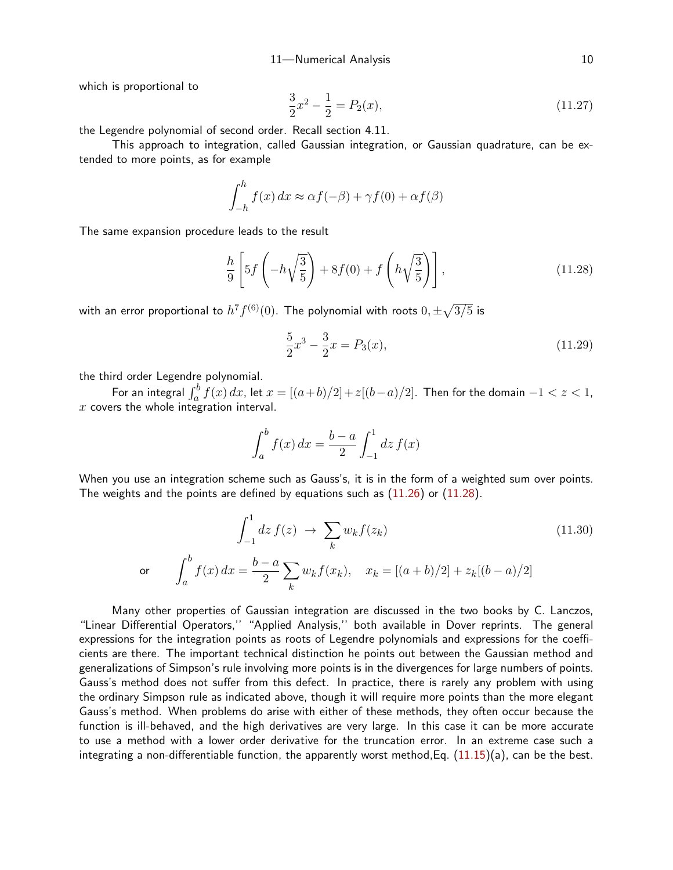which is proportional to

$$
\frac{3}{2}x^2 - \frac{1}{2} = P_2(x),\tag{11.27}
$$

the Legendre polynomial of second order. Recall section 4.11.

This approach to integration, called Gaussian integration, or Gaussian quadrature, can be extended to more points, as for example

$$
\int_{-h}^{h} f(x) dx \approx \alpha f(-\beta) + \gamma f(0) + \alpha f(\beta)
$$

The same expansion procedure leads to the result

$$
\frac{h}{9}\left[5f\left(-h\sqrt{\frac{3}{5}}\right)+8f(0)+f\left(h\sqrt{\frac{3}{5}}\right)\right],\tag{11.28}
$$

with an error proportional to  $h^7f^{(6)}(0).$  The polynomial with roots  $0,\pm\sqrt{3/5}$  is

<span id="page-9-0"></span>
$$
\frac{5}{2}x^3 - \frac{3}{2}x = P_3(x),\tag{11.29}
$$

the third order Legendre polynomial.

For an integral  $\int_a^b f(x)\,dx$ , let  $x=[(a+b)/2]+z[(b-a)/2].$  Then for the domain  $-1 < z < 1,$  $x$  covers the whole integration interval.

$$
\int_{a}^{b} f(x) dx = \frac{b-a}{2} \int_{-1}^{1} dz f(x)
$$

When you use an integration scheme such as Gauss's, it is in the form of a weighted sum over points. The weights and the points are defined by equations such as  $(11.26)$  $(11.26)$  $(11.26)$  or  $(11.28)$ .

$$
\int_{-1}^{1} dz f(z) \to \sum_{k} w_{k} f(z_{k})
$$
\nor

\n
$$
\int_{a}^{b} f(x) dx = \frac{b-a}{2} \sum_{k} w_{k} f(x_{k}), \quad x_{k} = [(a+b)/2] + z_{k}[(b-a)/2]
$$
\n(11.30)

Many other properties of Gaussian integration are discussed in the two books by C. Lanczos, "Linear Differential Operators,'' "Applied Analysis,'' both available in Dover reprints. The general expressions for the integration points as roots of Legendre polynomials and expressions for the coefficients are there. The important technical distinction he points out between the Gaussian method and generalizations of Simpson's rule involving more points is in the divergences for large numbers of points. Gauss's method does not suffer from this defect. In practice, there is rarely any problem with using the ordinary Simpson rule as indicated above, though it will require more points than the more elegant Gauss's method. When problems do arise with either of these methods, they often occur because the function is ill-behaved, and the high derivatives are very large. In this case it can be more accurate to use a method with a lower order derivative for the truncation error. In an extreme case such a integrating a non-differentiable function, the apparently worst method, Eq.  $(11.15)(a)$  $(11.15)(a)$  $(11.15)(a)$ , can be the best.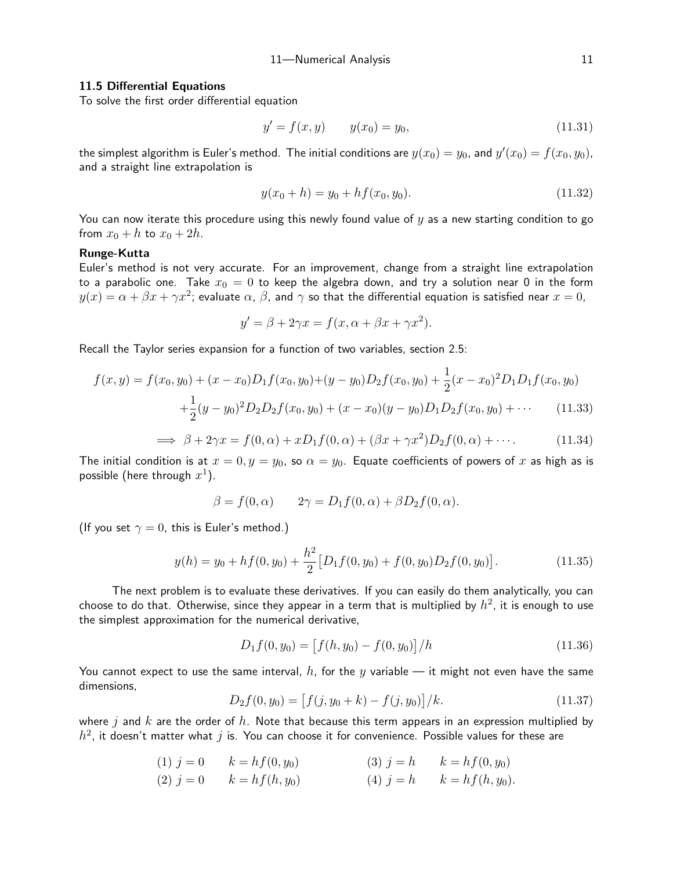# 11-Numerical Analysis 11

#### 11.5 Differential Equations

To solve the first order differential equation

$$
y' = f(x, y) \qquad y(x_0) = y_0,\tag{11.31}
$$

the simplest algorithm is Euler's method. The initial conditions are  $y(x_0) = y_0$ , and  $y'(x_0) = f(x_0, y_0)$ , and a straight line extrapolation is

<span id="page-10-0"></span>
$$
y(x_0 + h) = y_0 + h f(x_0, y_0).
$$
 (11.32)

You can now iterate this procedure using this newly found value of  $\eta$  as a new starting condition to go from  $x_0 + h$  to  $x_0 + 2h$ .

# Runge-Kutta

Euler's method is not very accurate. For an improvement, change from a straight line extrapolation to a parabolic one. Take  $x_0 = 0$  to keep the algebra down, and try a solution near 0 in the form  $y(x)=\alpha+\beta x+\gamma x^2$ ; evaluate  $\alpha, \, \beta,$  and  $\gamma$  so that the differential equation is satisfied near  $x=0,$ 

$$
y' = \beta + 2\gamma x = f(x, \alpha + \beta x + \gamma x^2).
$$

Recall the Taylor series expansion for a function of two variables, section 2.5:

$$
f(x,y) = f(x_0, y_0) + (x - x_0)D_1 f(x_0, y_0) + (y - y_0)D_2 f(x_0, y_0) + \frac{1}{2}(x - x_0)^2 D_1 D_1 f(x_0, y_0)
$$

$$
+ \frac{1}{2}(y - y_0)^2 D_2 D_2 f(x_0, y_0) + (x - x_0)(y - y_0)D_1 D_2 f(x_0, y_0) + \cdots \qquad (11.33)
$$

$$
\implies \beta + 2\gamma x = f(0, \alpha) + xD_1f(0, \alpha) + (\beta x + \gamma x^2)D_2f(0, \alpha) + \cdots
$$
 (11.34)

The initial condition is at  $x = 0, y = y_0$ , so  $\alpha = y_0$ . Equate coefficients of powers of x as high as is possible (here through  $x^1$ ).

$$
\beta = f(0, \alpha) \qquad 2\gamma = D_1 f(0, \alpha) + \beta D_2 f(0, \alpha).
$$

(If you set  $\gamma = 0$ , this is Euler's method.)

$$
y(h) = y_0 + h f(0, y_0) + \frac{h^2}{2} [D_1 f(0, y_0) + f(0, y_0) D_2 f(0, y_0)].
$$
\n(11.35)

The next problem is to evaluate these derivatives. If you can easily do them analytically, you can choose to do that. Otherwise, since they appear in a term that is multiplied by  $h^2$ , it is enough to use the simplest approximation for the numerical derivative,

<span id="page-10-1"></span>
$$
D_1 f(0, y_0) = [f(h, y_0) - f(0, y_0)]/h
$$
\n(11.36)

You cannot expect to use the same interval, h, for the y variable — it might not even have the same dimensions,

$$
D_2 f(0, y_0) = [f(j, y_0 + k) - f(j, y_0)]/k.
$$
 (11.37)

where j and k are the order of h. Note that because this term appears in an expression multiplied by  $h^2$ , it doesn't matter what  $j$  is. You can choose it for convenience. Possible values for these are

(1) 
$$
j = 0
$$
  $k = hf(0, y_0)$  (3)  $j = h$   $k = hf(0, y_0)$ 

(2) 
$$
j = 0
$$
  $k = hf(h, y_0)$  (4)  $j = h$   $k = hf(h, y_0)$ .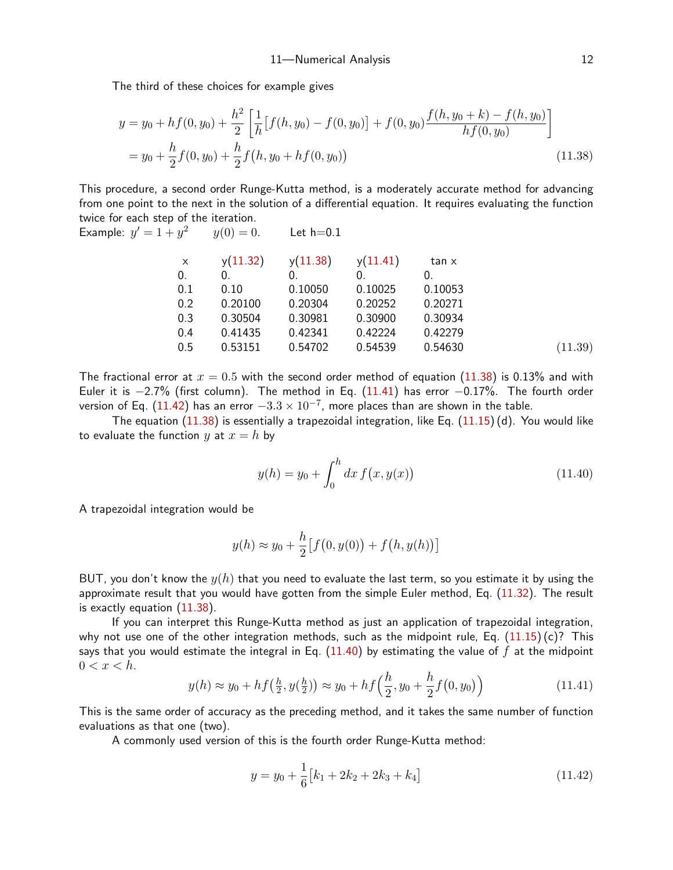The third of these choices for example gives

$$
y = y_0 + h f(0, y_0) + \frac{h^2}{2} \left[ \frac{1}{h} \left[ f(h, y_0) - f(0, y_0) \right] + f(0, y_0) \frac{f(h, y_0 + k) - f(h, y_0)}{h f(0, y_0)} \right]
$$
  
=  $y_0 + \frac{h}{2} f(0, y_0) + \frac{h}{2} f(h, y_0 + h f(0, y_0))$  (11.38)

This procedure, a second order Runge-Kutta method, is a moderately accurate method for advancing from one point to the next in the solution of a differential equation. It requires evaluating the function twice for each step of the iteration.

Example: 
$$
y' = 1 + y^2
$$
  $y(0) = 0$ . Let h=0.1

<span id="page-11-0"></span>

| $\times$ | y(11.32) | y(11.38)   | y(11.41) | tan x   |         |
|----------|----------|------------|----------|---------|---------|
| 0.       | 0.       | $\Omega$ . |          | 0.      |         |
| 0.1      | 0.10     | 0.10050    | 0.10025  | 0.10053 |         |
| 0.2      | 0.20100  | 0.20304    | 0.20252  | 0.20271 |         |
| 0.3      | 0.30504  | 0.30981    | 0.30900  | 0.30934 |         |
| 0.4      | 0.41435  | 0.42341    | 0.42224  | 0.42279 |         |
| 0.5      | 0.53151  | 0.54702    | 0.54539  | 0.54630 | (11.39) |
|          |          |            |          |         |         |

The fractional error at  $x = 0.5$  with the second order method of equation ([11.3](#page-11-0)8) is 0.13% and with Euler it is −2.7% (first column). The method in Eq. ([11.4](#page-11-1)1) has error −0.17%. The fourth order version of Eq.  $(11.42)$  $(11.42)$  $(11.42)$  has an error  $-3.3\times10^{-7}$ , more places than are shown in the table.

The equation  $(11.38)$  $(11.38)$  $(11.38)$  is essentially a trapezoidal integration, like Eq.  $(11.15)(d)$  $(11.15)(d)$  $(11.15)(d)$ . You would like to evaluate the function y at  $x = h$  by

<span id="page-11-4"></span><span id="page-11-3"></span>
$$
y(h) = y_0 + \int_0^h dx f(x, y(x))
$$
\n(11.40)

A trapezoidal integration would be

$$
y(h) \approx y_0 + \frac{h}{2} [f(0, y(0)) + f(h, y(h))]
$$

BUT, you don't know the  $y(h)$  that you need to evaluate the last term, so you estimate it by using the approximate result that you would have gotten from the simple Euler method, Eq. ([11.3](#page-10-0)2). The result is exactly equation ([11.3](#page-11-0)8).

If you can interpret this Runge-Kutta method as just an application of trapezoidal integration, why not use one of the other integration methods, such as the midpoint rule, Eq.  $(11.15)(c)$  $(11.15)(c)$  $(11.15)(c)$ ? This says that you would estimate the integral in Eq.  $(11.40)$  $(11.40)$  $(11.40)$  by estimating the value of f at the midpoint  $0 < x < h$ .

$$
y(h) \approx y_0 + h f(\frac{h}{2}, y(\frac{h}{2})) \approx y_0 + h f(\frac{h}{2}, y_0 + \frac{h}{2} f(0, y_0))
$$
\n(11.41)

This is the same order of accuracy as the preceding method, and it takes the same number of function evaluations as that one (two).

A commonly used version of this is the fourth order Runge-Kutta method:

<span id="page-11-2"></span><span id="page-11-1"></span>
$$
y = y_0 + \frac{1}{6} [k_1 + 2k_2 + 2k_3 + k_4]
$$
 (11.42)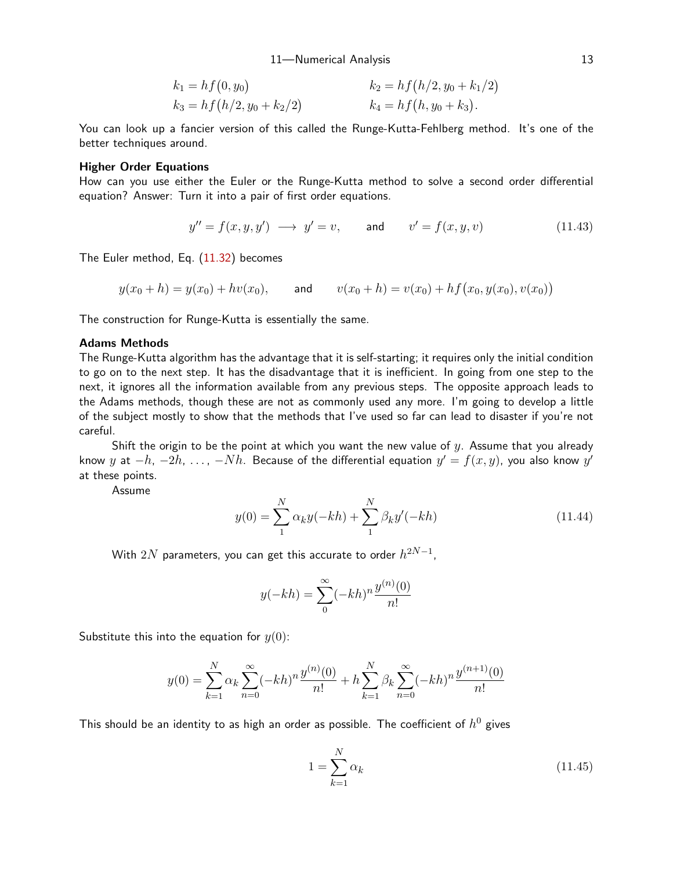11—Numerical Analysis 13

$$
k_1 = h f(0, y_0)
$$
  
\n
$$
k_2 = h f(h/2, y_0 + k_1/2)
$$
  
\n
$$
k_3 = h f(h/2, y_0 + k_2/2)
$$
  
\n
$$
k_4 = h f(h, y_0 + k_3).
$$

You can look up a fancier version of this called the Runge-Kutta-Fehlberg method. It's one of the better techniques around.

## Higher Order Equations

How can you use either the Euler or the Runge-Kutta method to solve a second order differential equation? Answer: Turn it into a pair of first order equations.

$$
y'' = f(x, y, y') \longrightarrow y' = v, \qquad \text{and} \qquad v' = f(x, y, v) \tag{11.43}
$$

The Euler method, Eq. [\(11.3](#page-10-0)2) becomes

$$
y(x_0 + h) = y(x_0) + hv(x_0)
$$
, and  $v(x_0 + h) = v(x_0) + hf(x_0, y(x_0), v(x_0))$ 

The construction for Runge-Kutta is essentially the same.

## Adams Methods

The Runge-Kutta algorithm has the advantage that it is self-starting; it requires only the initial condition to go on to the next step. It has the disadvantage that it is inefficient. In going from one step to the next, it ignores all the information available from any previous steps. The opposite approach leads to the Adams methods, though these are not as commonly used any more. I'm going to develop a little of the subject mostly to show that the methods that I've used so far can lead to disaster if you're not careful.

Shift the origin to be the point at which you want the new value of  $y$ . Assume that you already know  $y$  at  $-h$ ,  $-2h$ ,  $\dots$ ,  $-Nh$ . Because of the differential equation  $y'=f(x,y)$ , you also know  $y'$ at these points.

Assume

$$
y(0) = \sum_{1}^{N} \alpha_k y(-kh) + \sum_{1}^{N} \beta_k y'(-kh)
$$
\n(11.44)

With  $2N$  parameters, you can get this accurate to order  $h^{2N-1}\mathbf{,}$ 

$$
y(-kh) = \sum_{0}^{\infty} (-kh)^n \frac{y^{(n)}(0)}{n!}
$$

Substitute this into the equation for  $y(0)$ :

$$
y(0) = \sum_{k=1}^{N} \alpha_k \sum_{n=0}^{\infty} (-kh)^n \frac{y^{(n)}(0)}{n!} + h \sum_{k=1}^{N} \beta_k \sum_{n=0}^{\infty} (-kh)^n \frac{y^{(n+1)}(0)}{n!}
$$

This should be an identity to as high an order as possible. The coefficient of  $h^0$  gives

$$
1 = \sum_{k=1}^{N} \alpha_k \tag{11.45}
$$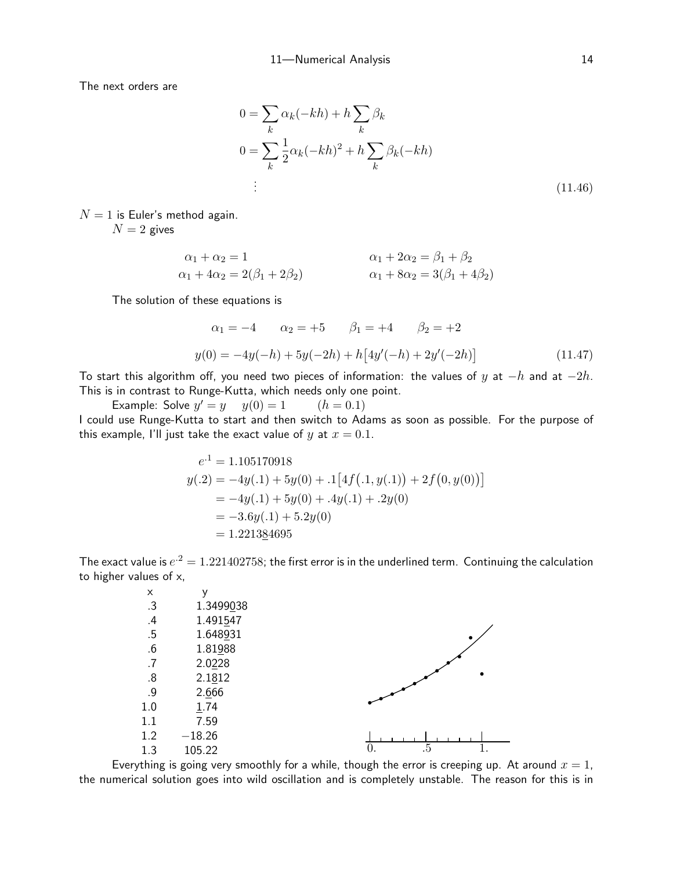The next orders are

$$
0 = \sum_{k} \alpha_k (-kh) + h \sum_{k} \beta_k
$$
  

$$
0 = \sum_{k} \frac{1}{2} \alpha_k (-kh)^2 + h \sum_{k} \beta_k (-kh)
$$
  

$$
\vdots
$$
 (11.46)

 $N = 1$  is Euler's method again.

 $N = 2$  gives

$$
\alpha_1 + \alpha_2 = 1
$$
  
\n
$$
\alpha_1 + 2\alpha_2 = \beta_1 + \beta_2
$$
  
\n
$$
\alpha_1 + 3\alpha_2 = 3(\beta_1 + 4\beta_2)
$$
  
\n
$$
\alpha_1 + 8\alpha_2 = 3(\beta_1 + 4\beta_2)
$$

The solution of these equations is

<span id="page-13-0"></span>
$$
\alpha_1 = -4 \qquad \alpha_2 = +5 \qquad \beta_1 = +4 \qquad \beta_2 = +2
$$
  

$$
y(0) = -4y(-h) + 5y(-2h) + h[4y'(-h) + 2y'(-2h)] \qquad (11.47)
$$

To start this algorithm off, you need two pieces of information: the values of y at  $-h$  and at  $-2h$ . This is in contrast to Runge-Kutta, which needs only one point.

Example: Solve  $y' = y$   $y(0) = 1$   $(h = 0.1)$ I could use Runge-Kutta to start and then switch to Adams as soon as possible. For the purpose of this example, I'll just take the exact value of y at  $x = 0.1$ .

$$
e^{.1} = 1.105170918
$$
  
\n
$$
y(.2) = -4y(.1) + 5y(0) + .1[4f(.1, y(.1)) + 2f(0, y(0))]
$$
  
\n
$$
= -4y(.1) + 5y(0) + .4y(.1) + .2y(0)
$$
  
\n
$$
= -3.6y(.1) + 5.2y(0)
$$
  
\n
$$
= 1.221384695
$$

The exact value is  $e^{.2} = 1.221402758$ ; the first error is in the underlined term. Continuing the calculation to higher values of x,

| X       | ٧         |                |
|---------|-----------|----------------|
| .3      | 1.3499038 |                |
| $\cdot$ | 1.491547  |                |
| .5      | 1.648931  |                |
| .6      | 1.81988   |                |
| .7      | 2.0228    |                |
| .8      | 2.1812    |                |
| .9      | 2.666     |                |
| 1.0     | 1.74      |                |
| 1.1     | 7.59      |                |
| 1.2     | $-18.26$  |                |
| 1.3     | 105.22    | .5<br>1.<br>0. |

Everything is going very smoothly for a while, though the error is creeping up. At around  $x = 1$ , the numerical solution goes into wild oscillation and is completely unstable. The reason for this is in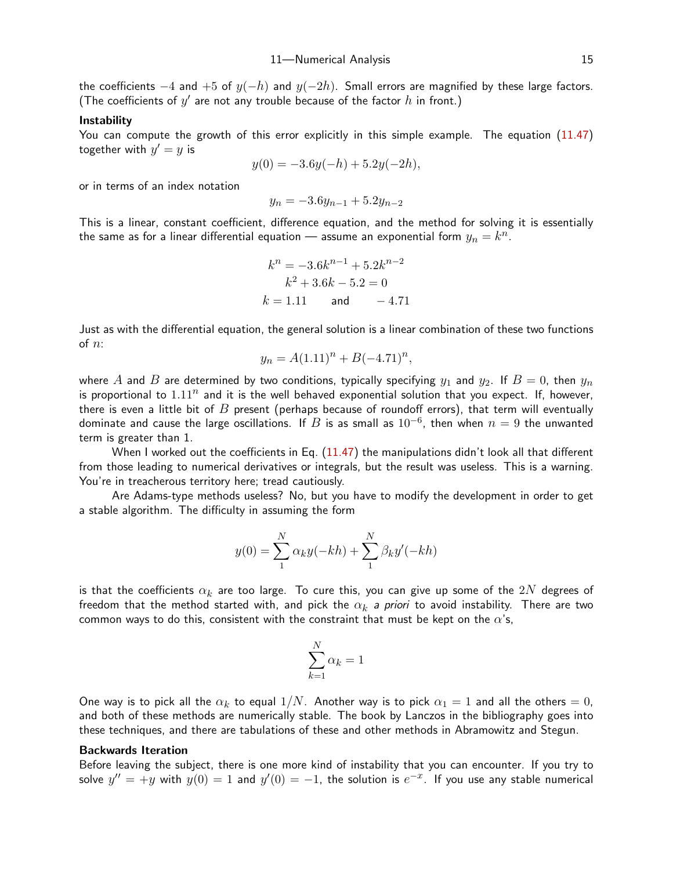the coefficients  $-4$  and  $+5$  of  $y(-h)$  and  $y(-2h)$ . Small errors are magnified by these large factors. (The coefficients of  $y'$  are not any trouble because of the factor  $h$  in front.)

#### Instability

You can compute the growth of this error explicitly in this simple example. The equation ([11.4](#page-13-0)7) together with  $y'=y$  is

$$
y(0) = -3.6y(-h) + 5.2y(-2h),
$$

or in terms of an index notation

$$
y_n = -3.6y_{n-1} + 5.2y_{n-2}
$$

This is a linear, constant coefficient, difference equation, and the method for solving it is essentially the same as for a linear differential equation — assume an exponential form  $y_n = k^n.$ 

$$
k^{n} = -3.6k^{n-1} + 5.2k^{n-2}
$$

$$
k^{2} + 3.6k - 5.2 = 0
$$

$$
k = 1.11 \qquad \text{and} \qquad -4.71
$$

Just as with the differential equation, the general solution is a linear combination of these two functions of  $n$ :

$$
y_n = A(1.11)^n + B(-4.71)^n,
$$

where A and B are determined by two conditions, typically specifying  $y_1$  and  $y_2$ . If  $B = 0$ , then  $y_n$ is proportional to  $1.11<sup>n</sup>$  and it is the well behaved exponential solution that you expect. If, however, there is even a little bit of  $B$  present (perhaps because of roundoff errors), that term will eventually dominate and cause the large oscillations. If  $B$  is as small as  $10^{-6}$ , then when  $n=9$  the unwanted term is greater than 1.

When I worked out the coefficients in Eq. [\(11.4](#page-13-0)7) the manipulations didn't look all that different from those leading to numerical derivatives or integrals, but the result was useless. This is a warning. You're in treacherous territory here; tread cautiously.

Are Adams-type methods useless? No, but you have to modify the development in order to get a stable algorithm. The difficulty in assuming the form

$$
y(0) = \sum_{1}^{N} \alpha_k y(-kh) + \sum_{1}^{N} \beta_k y'(-kh)
$$

is that the coefficients  $\alpha_k$  are too large. To cure this, you can give up some of the  $2N$  degrees of freedom that the method started with, and pick the  $\alpha_k$  a priori to avoid instability. There are two common ways to do this, consistent with the constraint that must be kept on the  $\alpha$ 's,

$$
\sum_{k=1}^N \alpha_k = 1
$$

One way is to pick all the  $\alpha_k$  to equal  $1/N.$  Another way is to pick  $\alpha_1=1$  and all the others  $=0,$ and both of these methods are numerically stable. The book by Lanczos in the bibliography goes into these techniques, and there are tabulations of these and other methods in Abramowitz and Stegun.

# Backwards Iteration

Before leaving the subject, there is one more kind of instability that you can encounter. If you try to solve  $y'' = +y$  with  $y(0) = 1$  and  $y'(0) = -1$ , the solution is  $e^{-x}$ . If you use any stable numerical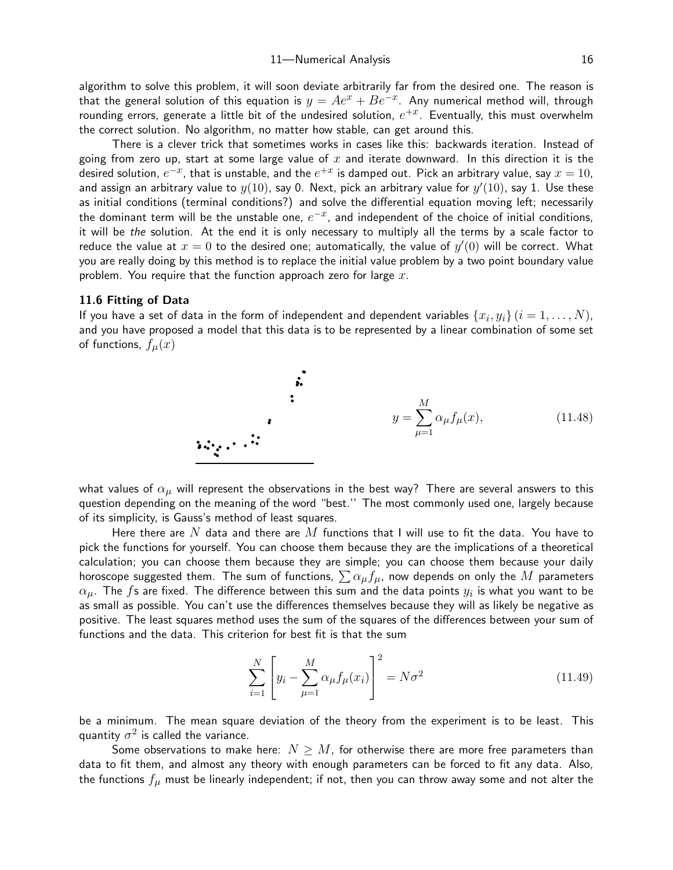algorithm to solve this problem, it will soon deviate arbitrarily far from the desired one. The reason is that the general solution of this equation is  $y=Ae^x+Be^{-x}.$  Any numerical method will, through rounding errors, generate a little bit of the undesired solution,  $e^{+x}$ . Eventually, this must overwhelm the correct solution. No algorithm, no matter how stable, can get around this.

There is a clever trick that sometimes works in cases like this: backwards iteration. Instead of going from zero up, start at some large value of x and iterate downward. In this direction it is the desired solution,  $e^{-x}$ , that is unstable, and the  $e^{+x}$  is damped out. Pick an arbitrary value, say  $x=10$ , and assign an arbitrary value to  $y(10)$ , say 0. Next, pick an arbitrary value for  $y^{\prime}(10)$ , say 1. Use these as initial conditions (terminal conditions?) and solve the differential equation moving left; necessarily the dominant term will be the unstable one,  $e^{-x}$ , and independent of the choice of initial conditions, it will be the solution. At the end it is only necessary to multiply all the terms by a scale factor to reduce the value at  $x=0$  to the desired one; automatically, the value of  $y^{\prime}(0)$  will be correct. What you are really doing by this method is to replace the initial value problem by a two point boundary value problem. You require that the function approach zero for large  $x$ .

#### 11.6 Fitting of Data

If you have a set of data in the form of independent and dependent variables  $\{x_i, y_i\}$   $(i=1,\ldots,N)$ , and you have proposed a model that this data is to be represented by a linear combination of some set of functions,  $f_u(x)$ 

y = X M µ=1 αµfµ(x), (11.48)

what values of  $\alpha_{\mu}$  will represent the observations in the best way? There are several answers to this question depending on the meaning of the word "best.'' The most commonly used one, largely because of its simplicity, is Gauss's method of least squares.

Here there are  $N$  data and there are  $M$  functions that I will use to fit the data. You have to pick the functions for yourself. You can choose them because they are the implications of a theoretical calculation; you can choose them because they are simple; you can choose them because your daily horoscope suggested them. The sum of functions,  $\sum \alpha_{\mu}f_{\mu}$ , now depends on only the M parameters  $\alpha_{\mu}.$  The  $f$ s are fixed. The difference between this sum and the data points  $y_i$  is what you want to be as small as possible. You can't use the differences themselves because they will as likely be negative as positive. The least squares method uses the sum of the squares of the differences between your sum of functions and the data. This criterion for best fit is that the sum

<span id="page-15-0"></span>
$$
\sum_{i=1}^{N} \left[ y_i - \sum_{\mu=1}^{M} \alpha_{\mu} f_{\mu}(x_i) \right]^2 = N \sigma^2 \tag{11.49}
$$

be a minimum. The mean square deviation of the theory from the experiment is to be least. This quantity  $\sigma^2$  is called the variance.

Some observations to make here:  $N > M$ , for otherwise there are more free parameters than data to fit them, and almost any theory with enough parameters can be forced to fit any data. Also, the functions  $f_{\mu}$  must be linearly independent; if not, then you can throw away some and not alter the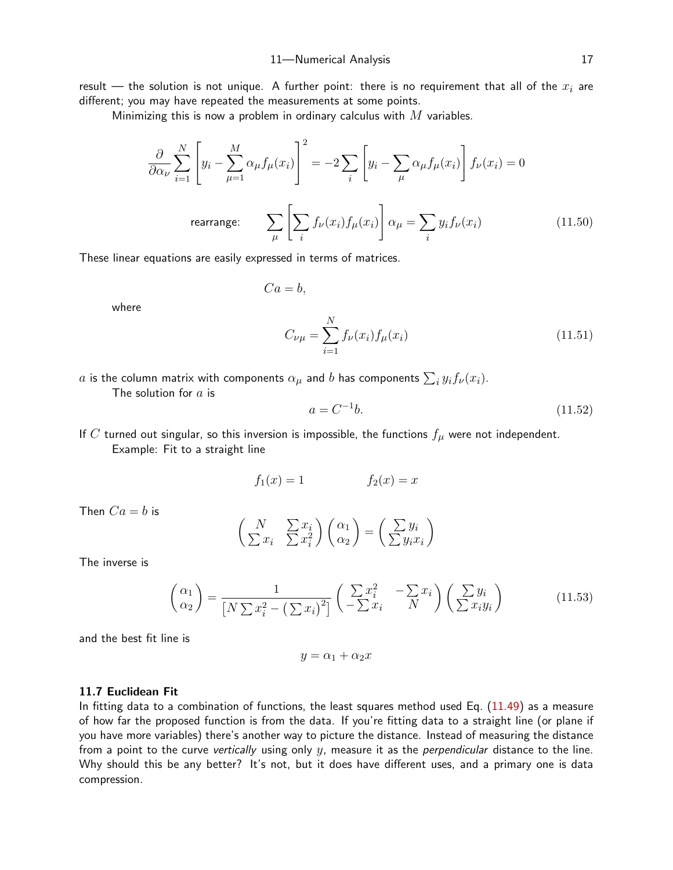result — the solution is not unique. A further point: there is no requirement that all of the  $x_i$  are different; you may have repeated the measurements at some points.

Minimizing this is now a problem in ordinary calculus with  $M$  variables.

$$
\frac{\partial}{\partial \alpha_{\nu}} \sum_{i=1}^{N} \left[ y_i - \sum_{\mu=1}^{M} \alpha_{\mu} f_{\mu}(x_i) \right]^2 = -2 \sum_{i} \left[ y_i - \sum_{\mu} \alpha_{\mu} f_{\mu}(x_i) \right] f_{\nu}(x_i) = 0
$$
  
rearrange: 
$$
\sum_{\mu} \left[ \sum_{i} f_{\nu}(x_i) f_{\mu}(x_i) \right] \alpha_{\mu} = \sum_{i} y_i f_{\nu}(x_i)
$$
(11.50)

These linear equations are easily expressed in terms of matrices.

$$
\quad \text{where} \quad
$$

$$
C_{\nu\mu} = \sum_{i=1}^{N} f_{\nu}(x_i) f_{\mu}(x_i)
$$
\n(11.51)

 $a$  is the column matrix with components  $\alpha_\mu$  and  $b$  has components  $\sum_i y_i f_\nu(x_i).$ 

 $Ca = b$ ,

The solution for  $a$  is

$$
a = C^{-1}b.\t(11.52)
$$

If  $C$  turned out singular, so this inversion is impossible, the functions  $f_{\mu}$  were not independent. Example: Fit to a straight line

$$
f_1(x) = 1 \qquad \qquad f_2(x) = x
$$

Then  $Ca = b$  is

$$
\begin{pmatrix} N & \sum x_i \\ \sum x_i & \sum x_i^2 \end{pmatrix} \begin{pmatrix} \alpha_1 \\ \alpha_2 \end{pmatrix} = \begin{pmatrix} \sum y_i \\ \sum y_i x_i \end{pmatrix}
$$

The inverse is

$$
\begin{pmatrix} \alpha_1 \\ \alpha_2 \end{pmatrix} = \frac{1}{\left[N \sum x_i^2 - \left(\sum x_i\right)^2\right]} \begin{pmatrix} \sum x_i^2 & -\sum x_i \\ -\sum x_i & N \end{pmatrix} \begin{pmatrix} \sum y_i \\ \sum x_i y_i \end{pmatrix}
$$
(11.53)

and the best fit line is

$$
y = \alpha_1 + \alpha_2 x
$$

#### 11.7 Euclidean Fit

In fitting data to a combination of functions, the least squares method used Eq. ([11.4](#page-15-0)9) as a measure of how far the proposed function is from the data. If you're fitting data to a straight line (or plane if you have more variables) there's another way to picture the distance. Instead of measuring the distance from a point to the curve vertically using only  $y$ , measure it as the *perpendicular* distance to the line. Why should this be any better? It's not, but it does have different uses, and a primary one is data compression.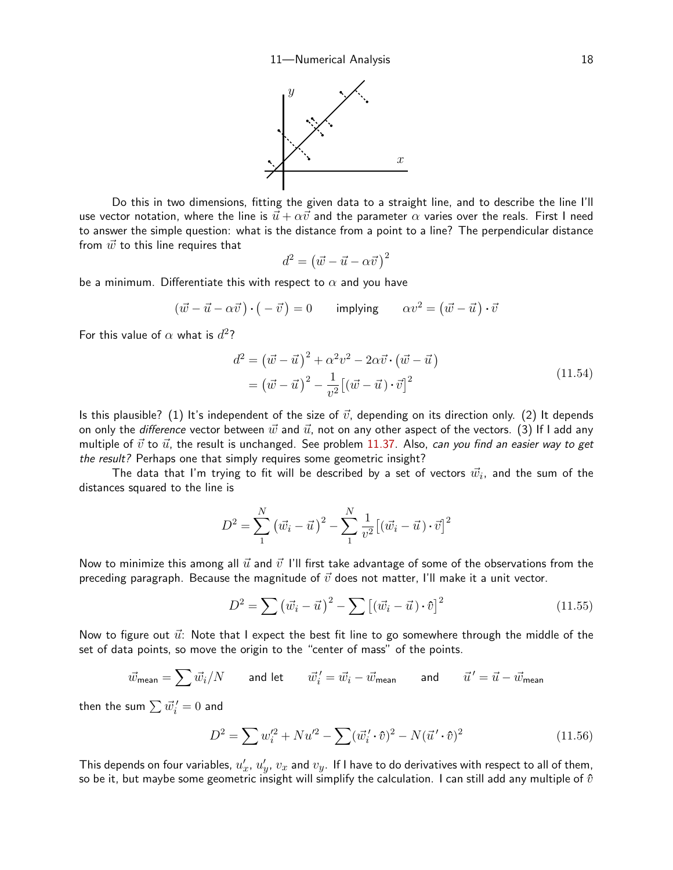

Do this in two dimensions, fitting the given data to a straight line, and to describe the line I'll use vector notation, where the line is  $\vec{u} + \alpha \vec{v}$  and the parameter  $\alpha$  varies over the reals. First I need to answer the simple question: what is the distance from a point to a line? The perpendicular distance from  $\vec{w}$  to this line requires that

<span id="page-17-0"></span>
$$
d^2 = (\vec{w} - \vec{u} - \alpha \vec{v})^2
$$

be a minimum. Differentiate this with respect to  $\alpha$  and you have

$$
(\vec{w} - \vec{u} - \alpha \vec{v}) \cdot (-\vec{v}) = 0 \qquad \text{implying} \qquad \alpha v^2 = (\vec{w} - \vec{u}) \cdot \vec{v}
$$

For this value of  $\alpha$  what is  $d^2$ ?

$$
d^{2} = (\vec{w} - \vec{u})^{2} + \alpha^{2} v^{2} - 2\alpha \vec{v} \cdot (\vec{w} - \vec{u})
$$
  
=  $(\vec{w} - \vec{u})^{2} - \frac{1}{v^{2}} [(\vec{w} - \vec{u}) \cdot \vec{v}]^{2}$  (11.54)

Is this plausible? (1) It's independent of the size of  $\vec{v}$ , depending on its direction only. (2) It depends on only the difference vector between  $\vec{w}$  and  $\vec{u}$ , not on any other aspect of the vectors. (3) If I add any multiple of  $\vec{v}$  to  $\vec{u}$ , the result is unchanged. See problem [11.3](#page-26-0)7. Also, can you find an easier way to get the result? Perhaps one that simply requires some geometric insight?

The data that I'm trying to fit will be described by a set of vectors  $\vec{w_i}$ , and the sum of the distances squared to the line is

$$
D^{2} = \sum_{1}^{N} (\vec{w}_{i} - \vec{u})^{2} - \sum_{1}^{N} \frac{1}{v^{2}} [(\vec{w}_{i} - \vec{u}) \cdot \vec{v}]^{2}
$$

Now to minimize this among all  $\vec{u}$  and  $\vec{v}$  I'll first take advantage of some of the observations from the preceding paragraph. Because the magnitude of  $\vec{v}$  does not matter, I'll make it a unit vector.

$$
D^2 = \sum (\vec{w_i} - \vec{u})^2 - \sum \left[ (\vec{w_i} - \vec{u}) \cdot \hat{v} \right]^2 \tag{11.55}
$$

Now to figure out  $\vec{u}$ : Note that I expect the best fit line to go somewhere through the middle of the set of data points, so move the origin to the "center of mass" of the points.

$$
\vec{w}_{\text{mean}} = \sum \vec{w}_i / N \qquad \text{and let} \qquad \vec{w}_i' = \vec{w}_i - \vec{w}_{\text{mean}} \qquad \text{and} \qquad \vec{u}' = \vec{u} - \vec{w}_{\text{mean}}
$$

then the sum  $\sum \vec{w}_i^{\,\prime}=0$  and

$$
D^2 = \sum w_i'^2 + N u'^2 - \sum (\vec{w}_i' \cdot \hat{v})^2 - N (\vec{u}' \cdot \hat{v})^2
$$
 (11.56)

This depends on four variables,  $u'_x$ ,  $u'_y$ ,  $v_x$  and  $v_y$ . If I have to do derivatives with respect to all of them, so be it, but maybe some geometric insight will simplify the calculation. I can still add any multiple of  $\hat{v}$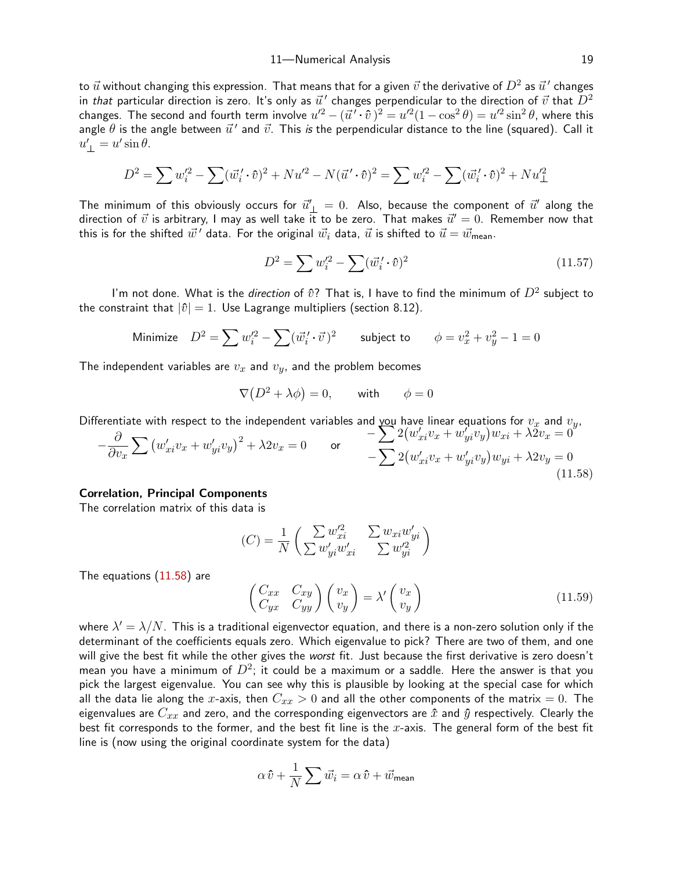11—Numerical Analysis 19

to  $\vec{u}$  without changing this expression. That means that for a given  $\vec{v}$  the derivative of  $D^2$  as  $\vec{u}^{\,\prime}$  changes in *that* particular direction is zero. It's only as  $\vec{u}^{\,\prime}$  changes perpendicular to the direction of  $\vec{v}$  that  $D^2$ changes. The second and fourth term involve  $u'^2-(\vec u'\cdot\hat v\,)^2=u'^2(1-\cos^2\theta)=u'^2\sin^2\theta,$  where this angle  $\theta$  is the angle between  $\vec{u}^{\,\prime}$  and  $\vec{v}$ . This *is* the perpendicular distance to the line (squared). Call it  $u'_{\perp} = u' \sin \theta.$ 

$$
D^{2} = \sum w_{i}^{'2} - \sum (\vec{w}_{i}' \cdot \hat{v})^{2} + N u'^{2} - N (\vec{u}' \cdot \hat{v})^{2} = \sum w_{i}'^{2} - \sum (\vec{w}_{i}' \cdot \hat{v})^{2} + N u'^{2} \perp
$$

The minimum of this obviously occurs for  $\vec{u}'_\perp = 0$ . Also, because the component of  $\vec{u}'$  along the direction of  $\vec{v}$  is arbitrary, I may as well take it to be zero. That makes  $\vec{u}' = 0$ . Remember now that this is for the shifted  $\vec{w}'$  data. For the original  $\vec{w}_i$  data,  $\vec{u}$  is shifted to  $\vec{u} = \vec{w}_{\text{mean}}$ .

<span id="page-18-1"></span>
$$
D^2 = \sum w_i'^2 - \sum (\vec{w}_i' \cdot \hat{v})^2
$$
 (11.57)

I'm not done. What is the *direction* of  $\hat{v}$ ? That is, I have to find the minimum of  $D^2$  subject to the constraint that  $|\hat{v}| = 1$ . Use Lagrange multipliers (section 8.12).

Minimize 
$$
D^2 = \sum w_i'^2 - \sum (\vec{w}_i' \cdot \vec{v})^2
$$
 subject to  $\phi = v_x^2 + v_y^2 - 1 = 0$ 

The independent variables are  $v_x$  and  $v_y$ , and the problem becomes

$$
\nabla (D^2 + \lambda \phi) = 0, \quad \text{with} \quad \phi = 0
$$

Differentiate with respect to the independent variables and you have linear equations for  $v_x$  and  $v_y$ ,

$$
-\frac{\partial}{\partial v_x} \sum \left( w'_{xi} v_x + w'_{yi} v_y \right)^2 + \lambda 2v_x = 0 \qquad \text{or} \qquad -\sum 2 \left( w'_{xi} v_x + w'_{yi} v_y \right) w_{xi} + \lambda 2v_x = 0
$$
\n
$$
-\sum 2 \left( w'_{xi} v_x + w'_{yi} v_y \right) w_{yi} + \lambda 2v_y = 0
$$
\n(11.58)

## Correlation, Principal Components

The correlation matrix of this data is

<span id="page-18-0"></span>
$$
(C) = \frac{1}{N} \begin{pmatrix} \sum w_{xi}^{\prime 2} & \sum w_{xi} w_{yi}^{\prime} \\ \sum w_{yi}^{\prime} w_{xi}^{\prime} & \sum w_{yi}^{\prime 2} \end{pmatrix}
$$

The equations ([11.5](#page-18-0)8) are

<span id="page-18-2"></span>
$$
\begin{pmatrix} C_{xx} & C_{xy} \\ C_{yx} & C_{yy} \end{pmatrix} \begin{pmatrix} v_x \\ v_y \end{pmatrix} = \lambda' \begin{pmatrix} v_x \\ v_y \end{pmatrix}
$$
\n(11.59)

where  $\lambda'=\lambda/N$ . This is a traditional eigenvector equation, and there is a non-zero solution only if the determinant of the coefficients equals zero. Which eigenvalue to pick? There are two of them, and one will give the best fit while the other gives the worst fit. Just because the first derivative is zero doesn't mean you have a minimum of  $D^2$ ; it could be a maximum or a saddle. Here the answer is that you pick the largest eigenvalue. You can see why this is plausible by looking at the special case for which all the data lie along the x-axis, then  $C_{xx} > 0$  and all the other components of the matrix = 0. The eigenvalues are  $C_{xx}$  and zero, and the corresponding eigenvectors are  $\hat{x}$  and  $\hat{y}$  respectively. Clearly the best fit corresponds to the former, and the best fit line is the  $x$ -axis. The general form of the best fit line is (now using the original coordinate system for the data)

$$
\alpha\,\hat{v} + \frac{1}{N}\sum \vec{w_i} = \alpha\,\hat{v} + \vec{w}_{\text{mean}}
$$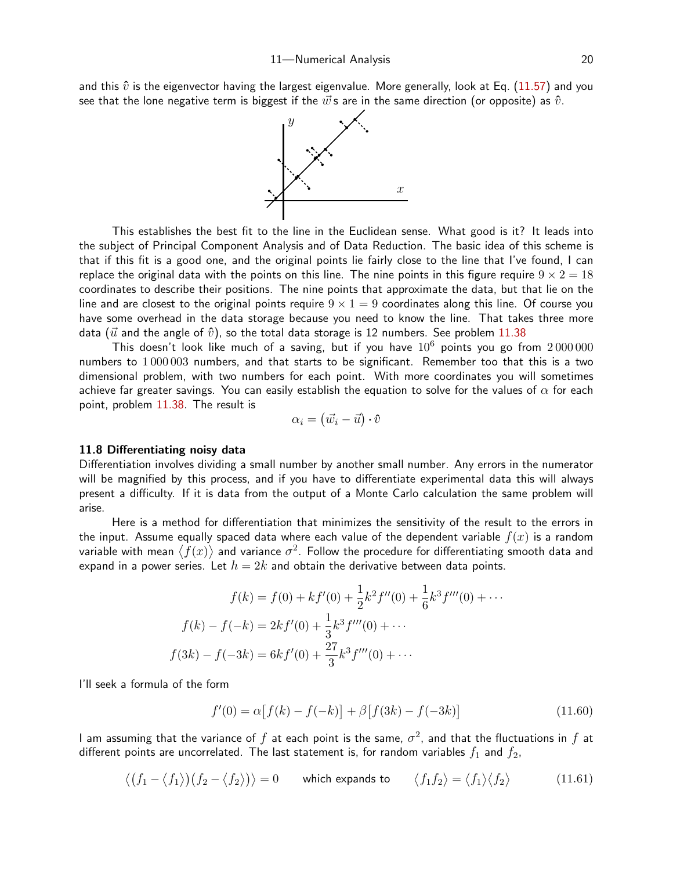and this  $\hat{v}$  is the eigenvector having the largest eigenvalue. More generally, look at Eq. ([11.5](#page-18-1)7) and you see that the lone negative term is biggest if the  $\vec{w}$ s are in the same direction (or opposite) as  $\hat{v}$ .



This establishes the best fit to the line in the Euclidean sense. What good is it? It leads into the subject of Principal Component Analysis and of Data Reduction. The basic idea of this scheme is that if this fit is a good one, and the original points lie fairly close to the line that I've found, I can replace the original data with the points on this line. The nine points in this figure require  $9 \times 2 = 18$ coordinates to describe their positions. The nine points that approximate the data, but that lie on the line and are closest to the original points require  $9 \times 1 = 9$  coordinates along this line. Of course you have some overhead in the data storage because you need to know the line. That takes three more data ( $\vec{u}$  and the angle of  $\hat{v}$ ), so the total data storage is 12 numbers. See problem [11.3](#page-26-1)8

This doesn't look like much of a saving, but if you have  $10^6$  points you go from  $2\,000\,000$ numbers to 1 000 003 numbers, and that starts to be significant. Remember too that this is a two dimensional problem, with two numbers for each point. With more coordinates you will sometimes achieve far greater savings. You can easily establish the equation to solve for the values of  $\alpha$  for each point, problem [11.3](#page-26-1)8. The result is

$$
\alpha_i = (\vec{w}_i - \vec{u}) \cdot \hat{v}
$$

#### 11.8 Differentiating noisy data

Differentiation involves dividing a small number by another small number. Any errors in the numerator will be magnified by this process, and if you have to differentiate experimental data this will always present a difficulty. If it is data from the output of a Monte Carlo calculation the same problem will arise.

Here is a method for differentiation that minimizes the sensitivity of the result to the errors in the input. Assume equally spaced data where each value of the dependent variable  $f(x)$  is a random variable with mean  $\langle f(x)\rangle$  and variance  $\sigma^2.$  Follow the procedure for differentiating smooth data and expand in a power series. Let  $h = 2k$  and obtain the derivative between data points.

$$
f(k) = f(0) + kf'(0) + \frac{1}{2}k^2 f''(0) + \frac{1}{6}k^3 f'''(0) + \cdots
$$

$$
f(k) - f(-k) = 2kf'(0) + \frac{1}{3}k^3 f'''(0) + \cdots
$$

$$
f(3k) - f(-3k) = 6kf'(0) + \frac{27}{3}k^3 f'''(0) + \cdots
$$

I'll seek a formula of the form

<span id="page-19-1"></span><span id="page-19-0"></span>
$$
f'(0) = \alpha [f(k) - f(-k)] + \beta [f(3k) - f(-3k)] \tag{11.60}
$$

I am assuming that the variance of  $f$  at each point is the same,  $\sigma^2$ , and that the fluctuations in  $f$  at different points are uncorrelated. The last statement is, for random variables  $f_1$  and  $f_2$ ,

$$
\langle (f_1 - \langle f_1 \rangle)(f_2 - \langle f_2 \rangle) \rangle = 0 \quad \text{which expands to} \quad \langle f_1 f_2 \rangle = \langle f_1 \rangle \langle f_2 \rangle \quad (11.61)
$$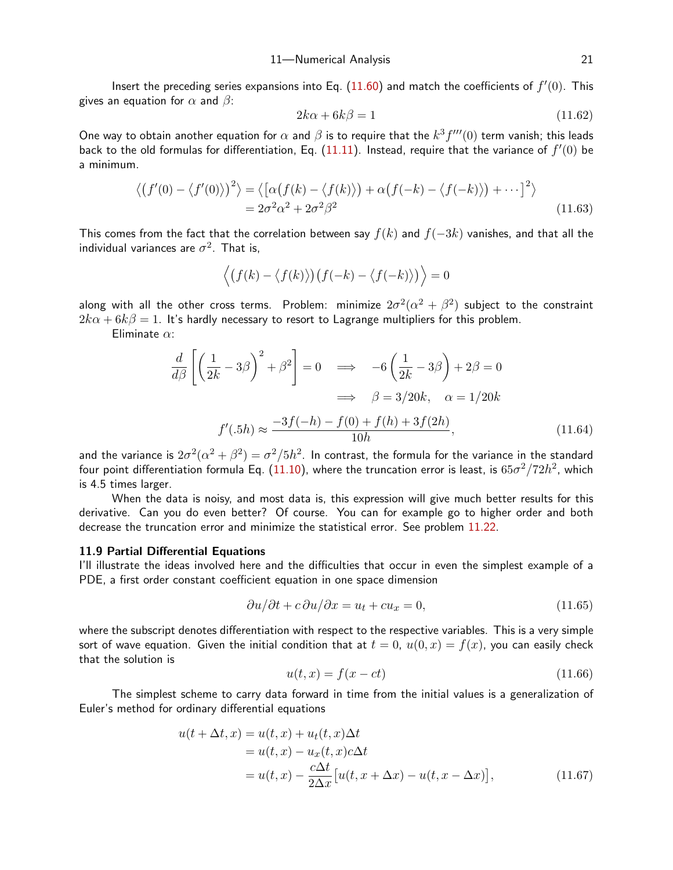Insert the preceding series expansions into Eq. [\(11.6](#page-19-0)0) and match the coefficients of  $f'(0)$ . This gives an equation for  $\alpha$  and  $\beta$ :

<span id="page-20-2"></span><span id="page-20-1"></span>
$$
2k\alpha + 6k\beta = 1\tag{11.62}
$$

One way to obtain another equation for  $\alpha$  and  $\beta$  is to require that the  $k^3f'''(0)$  term vanish; this leads back to the old formulas for differentiation, Eq.  $(11.11)$  $(11.11)$  $(11.11)$ . Instead, require that the variance of  $f'(0)$  be a minimum.

$$
\langle (f'(0) - \langle f'(0) \rangle)^2 \rangle = \langle [\alpha(f(k) - \langle f(k) \rangle) + \alpha(f(-k) - \langle f(-k) \rangle) + \cdots]^2 \rangle
$$
  
=  $2\sigma^2 \alpha^2 + 2\sigma^2 \beta^2$  (11.63)

This comes from the fact that the correlation between say  $f(k)$  and  $f(-3k)$  vanishes, and that all the individual variances are  $\sigma^2$ . That is,

$$
\langle (f(k) - \langle f(k) \rangle)(f(-k) - \langle f(-k) \rangle) \rangle = 0
$$

along with all the other cross terms. Problem: minimize  $2\sigma^2(\alpha^2+\beta^2)$  subject to the constraint  $2k\alpha + 6k\beta = 1$ . It's hardly necessary to resort to Lagrange multipliers for this problem.

Eliminate  $\alpha$ :

$$
\frac{d}{d\beta} \left[ \left( \frac{1}{2k} - 3\beta \right)^2 + \beta^2 \right] = 0 \implies -6 \left( \frac{1}{2k} - 3\beta \right) + 2\beta = 0
$$

$$
\implies \beta = 3/20k, \quad \alpha = 1/20k
$$

$$
f'(.5h) \approx \frac{-3f(-h) - f(0) + f(h) + 3f(2h)}{10h}, \tag{11.64}
$$

and the variance is  $2\sigma^2(\alpha^2+\beta^2)=\sigma^2/5h^2.$  In contrast, the formula for the variance in the standard four point differentiation formula Eq. ([11.1](#page-4-0)0), where the truncation error is least, is  $65\sigma^2/72h^2$ , which is 4.5 times larger.

When the data is noisy, and most data is, this expression will give much better results for this derivative. Can you do even better? Of course. You can for example go to higher order and both decrease the truncation error and minimize the statistical error. See problem [11.2](#page-25-0)2.

## 11.9 Partial Differential Equations

I'll illustrate the ideas involved here and the difficulties that occur in even the simplest example of a PDE, a first order constant coefficient equation in one space dimension

$$
\frac{\partial u}{\partial t} + c \frac{\partial u}{\partial x} = u_t + cu_x = 0,\tag{11.65}
$$

where the subscript denotes differentiation with respect to the respective variables. This is a very simple sort of wave equation. Given the initial condition that at  $t = 0$ ,  $u(0, x) = f(x)$ , you can easily check that the solution is

<span id="page-20-0"></span>
$$
u(t,x) = f(x - ct)
$$
\n<sup>(11.66)</sup>

The simplest scheme to carry data forward in time from the initial values is a generalization of Euler's method for ordinary differential equations

$$
u(t + \Delta t, x) = u(t, x) + u_t(t, x)\Delta t
$$
  
=  $u(t, x) - u_x(t, x)c\Delta t$   
=  $u(t, x) - \frac{c\Delta t}{2\Delta x} [u(t, x + \Delta x) - u(t, x - \Delta x)],$  (11.67)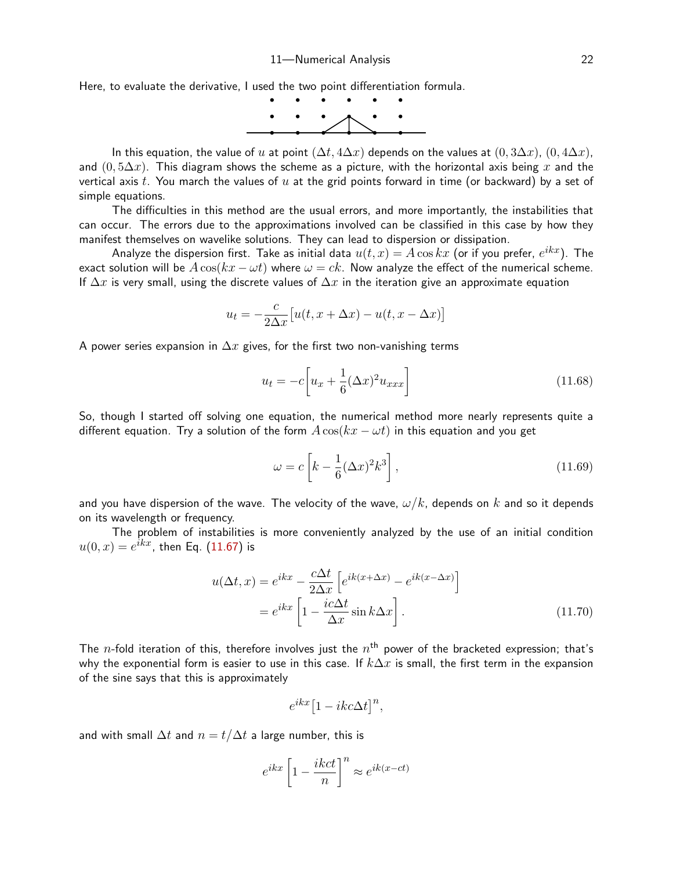Here, to evaluate the derivative, I used the two point differentiation formula.



In this equation, the value of u at point  $(\Delta t, 4\Delta x)$  depends on the values at  $(0, 3\Delta x)$ ,  $(0, 4\Delta x)$ , and  $(0, 5\Delta x)$ . This diagram shows the scheme as a picture, with the horizontal axis being x and the vertical axis  $t$ . You march the values of  $u$  at the grid points forward in time (or backward) by a set of simple equations.

The difficulties in this method are the usual errors, and more importantly, the instabilities that can occur. The errors due to the approximations involved can be classified in this case by how they manifest themselves on wavelike solutions. They can lead to dispersion or dissipation.

Analyze the dispersion first. Take as initial data  $u(t,x)=A\cos kx$  (or if you prefer,  $e^{ikx}$ ). The exact solution will be  $A\cos(kx - \omega t)$  where  $\omega = ck$ . Now analyze the effect of the numerical scheme. If  $\Delta x$  is very small, using the discrete values of  $\Delta x$  in the iteration give an approximate equation

$$
u_t = -\frac{c}{2\Delta x} \big[ u(t, x + \Delta x) - u(t, x - \Delta x) \big]
$$

A power series expansion in  $\Delta x$  gives, for the first two non-vanishing terms

$$
u_t = -c \left[ u_x + \frac{1}{6} (\Delta x)^2 u_{xxx} \right]
$$
\n
$$
(11.68)
$$

So, though I started off solving one equation, the numerical method more nearly represents quite a different equation. Try a solution of the form  $A\cos(kx - \omega t)$  in this equation and you get

$$
\omega = c \left[ k - \frac{1}{6} (\Delta x)^2 k^3 \right],\tag{11.69}
$$

and you have dispersion of the wave. The velocity of the wave,  $\omega/k$ , depends on k and so it depends on its wavelength or frequency.

The problem of instabilities is more conveniently analyzed by the use of an initial condition  $u(0,x)=e^{ikx}$ , then Eq. ([11.6](#page-20-0)7) is

$$
u(\Delta t, x) = e^{ikx} - \frac{c\Delta t}{2\Delta x} \left[ e^{ik(x + \Delta x)} - e^{ik(x - \Delta x)} \right]
$$

$$
= e^{ikx} \left[ 1 - \frac{ic\Delta t}{\Delta x} \sin k\Delta x \right].
$$
(11.70)

The  $n$ -fold iteration of this, therefore involves just the  $n^{\text{th}}$  power of the bracketed expression; that's why the exponential form is easier to use in this case. If  $k\Delta x$  is small, the first term in the expansion of the sine says that this is approximately

<span id="page-21-0"></span>
$$
e^{ikx}\left[1-ikc\Delta t\right]^{n},
$$

and with small  $\Delta t$  and  $n = t/\Delta t$  a large number, this is

$$
e^{ikx} \left[1 - \frac{ikct}{n}\right]^n \approx e^{ik(x - ct)}
$$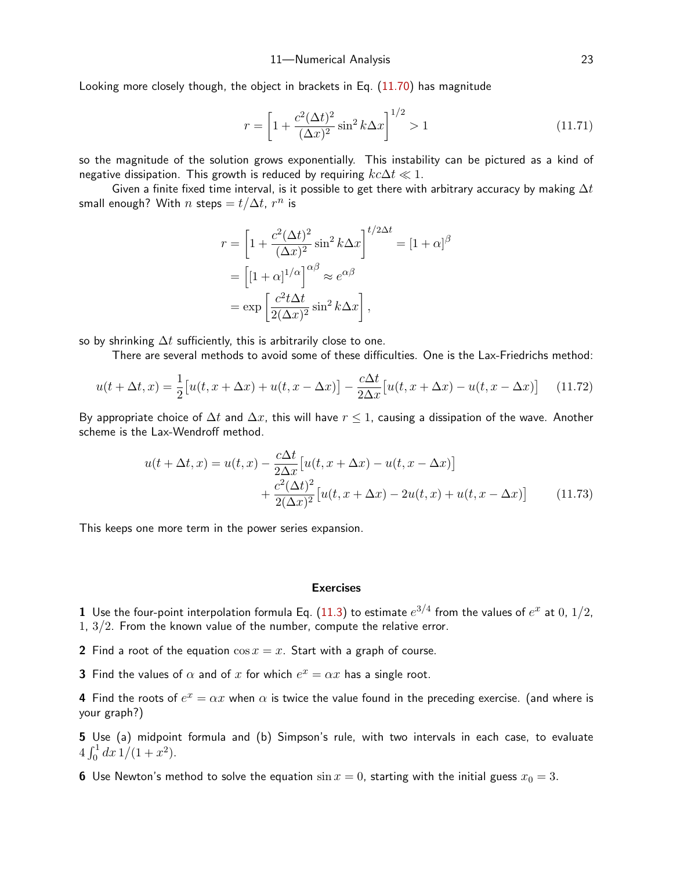Looking more closely though, the object in brackets in Eq. ([11.7](#page-21-0)0) has magnitude

<span id="page-22-0"></span>
$$
r = \left[1 + \frac{c^2 (\Delta t)^2}{(\Delta x)^2} \sin^2 k \Delta x\right]^{1/2} > 1\tag{11.71}
$$

so the magnitude of the solution grows exponentially. This instability can be pictured as a kind of negative dissipation. This growth is reduced by requiring  $kc\Delta t \ll 1$ .

Given a finite fixed time interval, is it possible to get there with arbitrary accuracy by making  $\Delta t$ small enough? With  $n$  steps  $=t/\Delta t$ ,  $r^n$  is

$$
r = \left[1 + \frac{c^2 (\Delta t)^2}{(\Delta x)^2} \sin^2 k \Delta x\right]^{t/2\Delta t} = [1 + \alpha]^\beta
$$
  
= 
$$
\left[1 + \alpha\right]^{1/\alpha} \approx e^{\alpha \beta}
$$
  
= 
$$
\exp\left[\frac{c^2 t \Delta t}{2(\Delta x)^2} \sin^2 k \Delta x\right],
$$

so by shrinking  $\Delta t$  sufficiently, this is arbitrarily close to one.

There are several methods to avoid some of these difficulties. One is the Lax-Friedrichs method:

$$
u(t + \Delta t, x) = \frac{1}{2} \big[ u(t, x + \Delta x) + u(t, x - \Delta x) \big] - \frac{c\Delta t}{2\Delta x} \big[ u(t, x + \Delta x) - u(t, x - \Delta x) \big] \tag{11.72}
$$

By appropriate choice of  $\Delta t$  and  $\Delta x$ , this will have  $r \leq 1$ , causing a dissipation of the wave. Another scheme is the Lax-Wendroff method.

$$
u(t + \Delta t, x) = u(t, x) - \frac{c\Delta t}{2\Delta x} \left[ u(t, x + \Delta x) - u(t, x - \Delta x) \right]
$$

$$
+ \frac{c^2(\Delta t)^2}{2(\Delta x)^2} \left[ u(t, x + \Delta x) - 2u(t, x) + u(t, x - \Delta x) \right]
$$
(11.73)

This keeps one more term in the power series expansion.

#### Exercises

 $\bf 1$  Use the four-point interpolation formula Eq.  $(11.3)$  $(11.3)$  $(11.3)$  to estimate  $e^{3/4}$  from the values of  $e^x$  at  $0$ ,  $1/2$ , 1,  $3/2$ . From the known value of the number, compute the relative error.

2 Find a root of the equation  $\cos x = x$ . Start with a graph of course.

**3** Find the values of  $\alpha$  and of  $x$  for which  $e^x = \alpha x$  has a single root.

**4** Find the roots of  $e^x = \alpha x$  when  $\alpha$  is twice the value found in the preceding exercise. (and where is your graph?)

5 Use (a) midpoint formula and (b) Simpson's rule, with two intervals in each case, to evaluate  $4 \int_0^1 dx \, 1/(1+x^2)$ .

6 Use Newton's method to solve the equation  $\sin x = 0$ , starting with the initial guess  $x_0 = 3$ .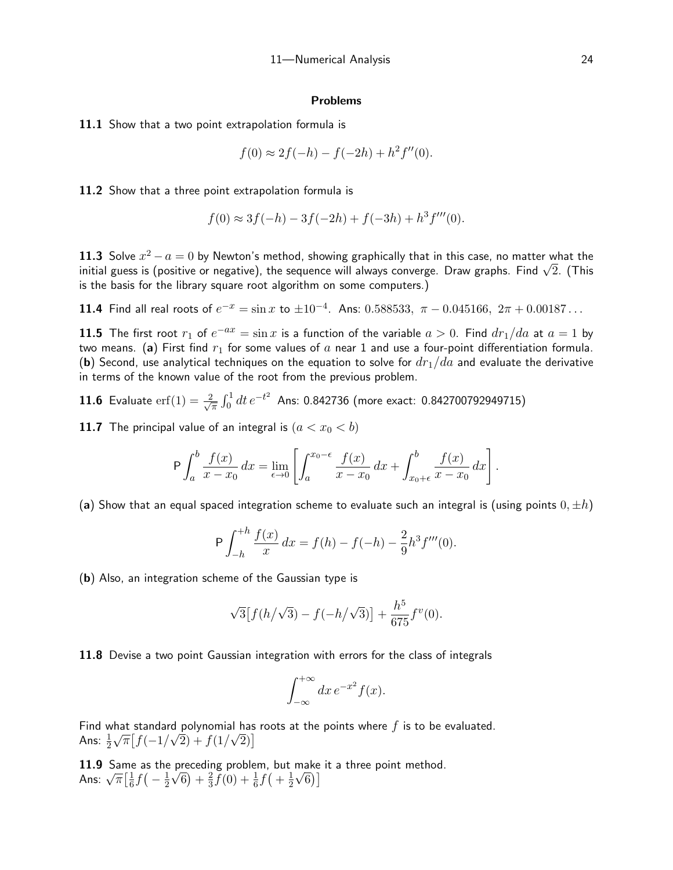#### Problems

11.1 Show that a two point extrapolation formula is

$$
f(0) \approx 2f(-h) - f(-2h) + h^2 f''(0).
$$

11.2 Show that a three point extrapolation formula is

$$
f(0) \approx 3f(-h) - 3f(-2h) + f(-3h) + h3 f'''(0).
$$

11.3 Solve  $x^2 - a = 0$  by Newton's method, showing graphically that in this case, no matter what the 11.3 Soive  $x$ −  $a$  = 0 by ivewton s method, snowing graphically that in this case, no matter what the<br>initial guess is (positive or negative), the sequence will always converge. Draw graphs. Find √2. (This is the basis for the library square root algorithm on some computers.)

**11.4** Find all real roots of  $e^{-x} = \sin x$  to  $\pm 10^{-4}$ . Ans: 0.588533,  $\pi - 0.045166$ ,  $2\pi + 0.00187...$ 

**11.5** The first root  $r_1$  of  $e^{-ax} = \sin x$  is a function of the variable  $a > 0$ . Find  $dr_1/da$  at  $a = 1$  by two means. (a) First find  $r_1$  for some values of a near 1 and use a four-point differentiation formula. (b) Second, use analytical techniques on the equation to solve for  $dr_1/da$  and evaluate the derivative in terms of the known value of the root from the previous problem.

**11.6** Evaluate erf(1) = 
$$
\frac{2}{\sqrt{\pi}} \int_0^1 dt e^{-t^2}
$$
 Ans: 0.842736 (more exact: 0.842700792949715)

11.7 The principal value of an integral is  $(a < x_0 < b)$ 

$$
\mathsf{P} \int_{a}^{b} \frac{f(x)}{x - x_{0}} \, dx = \lim_{\epsilon \to 0} \left[ \int_{a}^{x_{0} - \epsilon} \frac{f(x)}{x - x_{0}} \, dx + \int_{x_{0} + \epsilon}^{b} \frac{f(x)}{x - x_{0}} \, dx \right].
$$

(a) Show that an equal spaced integration scheme to evaluate such an integral is (using points  $0, \pm h$ )

$$
P \int_{-h}^{+h} \frac{f(x)}{x} dx = f(h) - f(-h) - \frac{2}{9} h^3 f'''(0).
$$

(b) Also, an integration scheme of the Gaussian type is

$$
\sqrt{3}\big[f(h/\sqrt{3})-f(-h/\sqrt{3})\big]+\frac{h^5}{675}f^v(0).
$$

11.8 Devise a two point Gaussian integration with errors for the class of integrals

$$
\int_{-\infty}^{+\infty} dx \, e^{-x^2} f(x).
$$

Find what standard polynomial has roots at the points where f is to be evaluated. Ans:  $\frac{1}{2}\sqrt{\pi} \big[ f(-1/\sqrt{2}) + f(1/\sqrt{2}) \big]$ 

11.9 Same as the preceding problem, but make it a three point method. **11.9** Same<br>Ans:  $\sqrt{\pi} \left[\frac{1}{6}\right]$  $\frac{1}{6} f(-\frac{1}{2})$  $(\frac{1}{2}\sqrt{6}) + \frac{2}{3}$  $\frac{2}{3}f(0) + \frac{1}{6}f(1) + \frac{1}{2}$  $\frac{1}{2}\sqrt{6}$ ]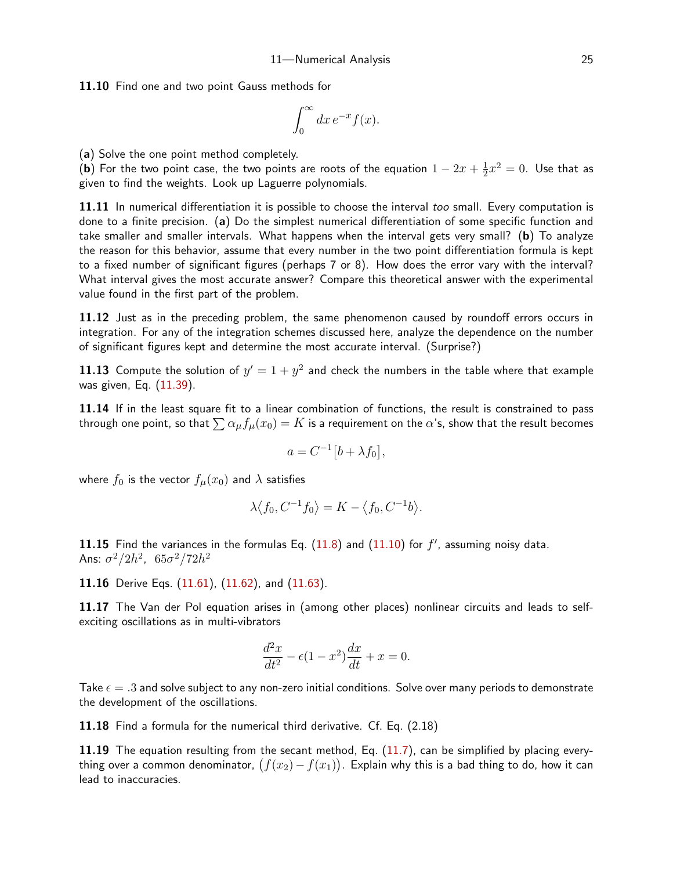11.10 Find one and two point Gauss methods for

$$
\int_0^\infty dx \, e^{-x} f(x).
$$

(a) Solve the one point method completely.

(b) For the two point case, the two points are roots of the equation  $1-2x+\frac{1}{2}$  $\frac{1}{2}x^2=0$ . Use that as given to find the weights. Look up Laguerre polynomials.

11.11 In numerical differentiation it is possible to choose the interval too small. Every computation is done to a finite precision. (a) Do the simplest numerical differentiation of some specific function and take smaller and smaller intervals. What happens when the interval gets very small? (b) To analyze the reason for this behavior, assume that every number in the two point differentiation formula is kept to a fixed number of significant figures (perhaps 7 or 8). How does the error vary with the interval? What interval gives the most accurate answer? Compare this theoretical answer with the experimental value found in the first part of the problem.

11.12 Just as in the preceding problem, the same phenomenon caused by roundoff errors occurs in integration. For any of the integration schemes discussed here, analyze the dependence on the number of significant figures kept and determine the most accurate interval. (Surprise?)

11.13 Compute the solution of  $y'=1+y^2$  and check the numbers in the table where that example was given, Eq. ([11.3](#page-11-4)9).

11.14 If in the least square fit to a linear combination of functions, the result is constrained to pass through one point, so that  $\sum \alpha_{\mu}f_{\mu}(x_0) = K$  is a requirement on the  $\alpha$ 's, show that the result becomes

$$
a = C^{-1} [b + \lambda f_0],
$$

where  $f_0$  is the vector  $f_\mu(x_0)$  and  $\lambda$  satisfies

$$
\lambda \langle f_0, C^{-1} f_0 \rangle = K - \langle f_0, C^{-1} b \rangle.
$$

[11.1](#page-4-0)5 Find the variances in the formulas Eq.  $(11.8)$  $(11.8)$  $(11.8)$  and  $(11.10)$  for  $f'$ , assuming noisy data. Ans:  $\sigma^2/2h^2$ ,  $\; 65\sigma^2/72h^2$ 

11.16 Derive Eqs. [\(11.6](#page-19-1)1), [\(11.6](#page-20-1)2), and ([11.6](#page-20-2)3).

11.17 The Van der Pol equation arises in (among other places) nonlinear circuits and leads to selfexciting oscillations as in multi-vibrators

$$
\frac{d^2x}{dt^2} - \epsilon(1 - x^2)\frac{dx}{dt} + x = 0.
$$

Take  $\epsilon = .3$  and solve subject to any non-zero initial conditions. Solve over many periods to demonstrate the development of the oscillations.

11.18 Find a formula for the numerical third derivative. Cf. Eq. (2.18)

11.19 The equation resulting from the secant method, Eq.  $(11.7)$  $(11.7)$  $(11.7)$ , can be simplified by placing everything over a common denominator,  $\big(f(x_2)-f(x_1)\big)$ . Explain why this is a bad thing to do, how it can lead to inaccuracies.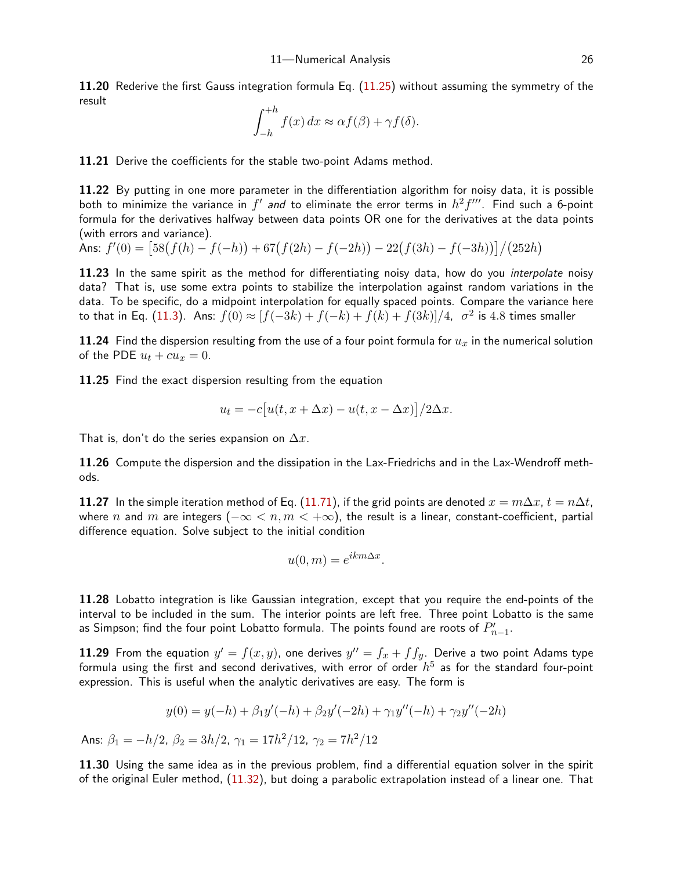11.20 Rederive the first Gauss integration formula Eq. ([11.2](#page-8-1)5) without assuming the symmetry of the result

$$
\int_{-h}^{+h} f(x) dx \approx \alpha f(\beta) + \gamma f(\delta).
$$

<span id="page-25-0"></span>11.21 Derive the coefficients for the stable two-point Adams method.

11.22 By putting in one more parameter in the differentiation algorithm for noisy data, it is possible both to minimize the variance in  $f'$  *and* to eliminate the error terms in  $h^2f'''$ . Find such a 6-point formula for the derivatives halfway between data points OR one for the derivatives at the data points (with errors and variance).

Ans:  $f'(0) = \frac{58(f(h) - f(-h)) + 67(f(2h) - f(-2h)) - 22(f(3h) - f(-3h))}{28(h)}$ 

11.23 In the same spirit as the method for differentiating noisy data, how do you *interpolate* noisy data? That is, use some extra points to stabilize the interpolation against random variations in the data. To be specific, do a midpoint interpolation for equally spaced points. Compare the variance here to that in Eq. ([11.3](#page-1-0)). Ans:  $f(0) \approx [f(-3k)+f(-k)+f(k)+f(3k)]/4$ ,  $\sigma^2$  is  $4.8$  times smaller

11.24 Find the dispersion resulting from the use of a four point formula for  $u_x$  in the numerical solution of the PDE  $u_t + cu_x = 0$ .

11.25 Find the exact dispersion resulting from the equation

$$
u_t = -c[u(t, x + \Delta x) - u(t, x - \Delta x)]/2\Delta x.
$$

That is, don't do the series expansion on  $\Delta x$ .

11.26 Compute the dispersion and the dissipation in the Lax-Friedrichs and in the Lax-Wendroff methods.

11.27 In the simple iteration method of Eq. [\(11.7](#page-22-0)1), if the grid points are denoted  $x = m\Delta x$ ,  $t = n\Delta t$ , where n and m are integers ( $-\infty < n, m < +\infty$ ), the result is a linear, constant-coefficient, partial difference equation. Solve subject to the initial condition

$$
u(0,m) = e^{ikm\Delta x}.
$$

11.28 Lobatto integration is like Gaussian integration, except that you require the end-points of the interval to be included in the sum. The interior points are left free. Three point Lobatto is the same as Simpson; find the four point Lobatto formula. The points found are roots of  $P_{n-1}^{\prime}$ .

**11.29** From the equation  $y' = f(x, y)$ , one derives  $y'' = f_x + f f_y$ . Derive a two point Adams type formula using the first and second derivatives, with error of order  $h^{5}$  as for the standard four-point expression. This is useful when the analytic derivatives are easy. The form is

$$
y(0) = y(-h) + \beta_1 y'(-h) + \beta_2 y'(-2h) + \gamma_1 y''(-h) + \gamma_2 y''(-2h)
$$

Ans:  $\beta_1=-h/2$ ,  $\beta_2=3h/2$ ,  $\gamma_1=17h^2/12$ ,  $\gamma_2=7h^2/12$ 

11.30 Using the same idea as in the previous problem, find a differential equation solver in the spirit of the original Euler method, ([11.3](#page-10-0)2), but doing a parabolic extrapolation instead of a linear one. That